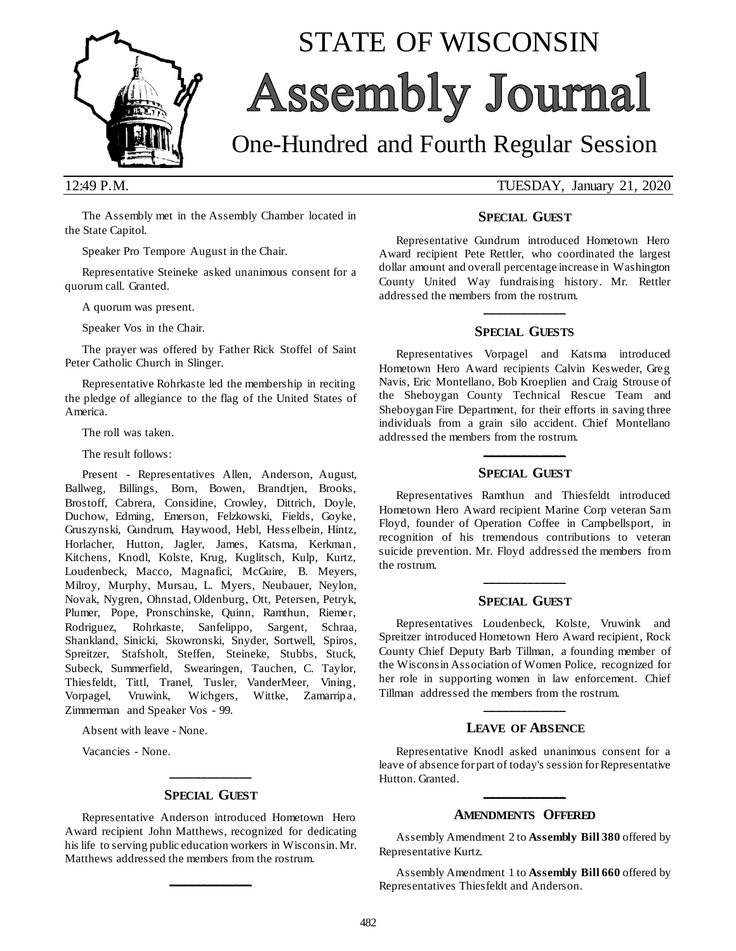

# STATE OF WISCONSIN Assembly Journal

## One-Hundred and Fourth Regular Session

12:49 P.M. TUESDAY, January 21, 2020

The Assembly met in the Assembly Chamber located in the State Capitol.

Speaker Pro Tempore August in the Chair.

Representative Steineke asked unanimous consent for a quorum call. Granted.

A quorum was present.

Speaker Vos in the Chair.

The prayer was offered by Father Rick Stoffel of Saint Peter Catholic Church in Slinger.

Representative Rohrkaste led the membership in reciting the pledge of allegiance to the flag of the United States of America.

The roll was taken.

The result follows:

Present - Representatives Allen, Anderson, August, Ballweg, Billings, Born, Bowen, Brandtjen, Brooks, Brostoff, Cabrera, Considine, Crowley, Dittrich, Doyle, Duchow, Edming, Emerson, Felzkowski, Fields, Goyke, Gruszynski, Gundrum, Haywood, Hebl, Hess elbein, Hintz, Horlacher, Hutton, Jagler, James, Katsma, Kerkman, Kitchens, Knodl, Kolste, Krug, Kuglitsch, Kulp, Kurtz, Loudenbeck, Macco, Magnafici, McGuire, B. Meyers, Milroy, Murphy, Mursau, L. Myers, Neubauer, Neylon, Novak, Nygren, Ohnstad, Oldenburg, Ott, Petersen, Petryk, Plumer, Pope, Pronschinske, Quinn, Ramthun, Riemer, Rodriguez, Rohrkaste, Sanfelippo, Sargent, Schraa, Shankland, Sinicki, Skowronski, Snyder, Sortwell, Spiros, Spreitzer, Stafsholt, Steffen, Steineke, Stubbs, Stuck, Subeck, Summerfield, Swearingen, Tauchen, C. Taylor, Thiesfeldt, Tittl, Tranel, Tusler, VanderMeer, Vining, Vorpagel, Vruwink, Wichgers, Wittke, Zamarripa, Zimmerman and Speaker Vos - 99.

Absent with leave - None.

Vacancies - None.

## **\_\_\_\_\_\_\_\_\_\_\_\_\_ SPECIAL GUEST**

Representative Anderson introduced Hometown Hero Award recipient John Matthews, recognized for dedicating his life to serving public education workers in Wisconsin. Mr. Matthews addressed the members from the rostrum.

**\_\_\_\_\_\_\_\_\_\_\_\_\_**

### **SPECIAL GUEST**

Representative Gundrum introduced Hometown Hero Award recipient Pete Rettler, who coordinated the largest dollar amount and overall percentage increase in Washington County United Way fundraising history. Mr. Rettler addressed the members from the rostrum.

## **\_\_\_\_\_\_\_\_\_\_\_\_\_ SPECIAL GUESTS**

Representatives Vorpagel and Katsma introduced Hometown Hero Award recipients Calvin Kesweder, Greg Navis, Eric Montellano, Bob Kroeplien and Craig Strouse of the Sheboygan County Technical Rescue Team and Sheboygan Fire Department, for their efforts in saving three individuals from a grain silo accident. Chief Montellano addressed the members from the rostrum.

## **\_\_\_\_\_\_\_\_\_\_\_\_\_ SPECIAL GUEST**

Representatives Ramthun and Thiesfeldt introduced Hometown Hero Award recipient Marine Corp veteran Sam Floyd, founder of Operation Coffee in Campbellsport, in recognition of his tremendous contributions to veteran suicide prevention. Mr. Floyd addressed the members from the rostrum.

## **\_\_\_\_\_\_\_\_\_\_\_\_\_ SPECIAL GUEST**

Representatives Loudenbeck, Kolste, Vruwink and Spreitzer introduced Hometown Hero Award recipient, Rock County Chief Deputy Barb Tillman, a founding member of the Wisconsin Association of Women Police, recognized for her role in supporting women in law enforcement. Chief Tillman addressed the members from the rostrum.

## **\_\_\_\_\_\_\_\_\_\_\_\_\_ LEAVE OF ABSENCE**

Representative Knodl asked unanimous consent for a leave of absence for part of today's session for Representative Hutton. Granted.

## **\_\_\_\_\_\_\_\_\_\_\_\_\_ AMENDMENTS OFFERED**

Assembly Amendment 2 to **Assembly Bill 380** offered by Representative Kurtz.

Assembly Amendment 1 to **Assembly Bill 660** offered by Representatives Thiesfeldt and Anderson.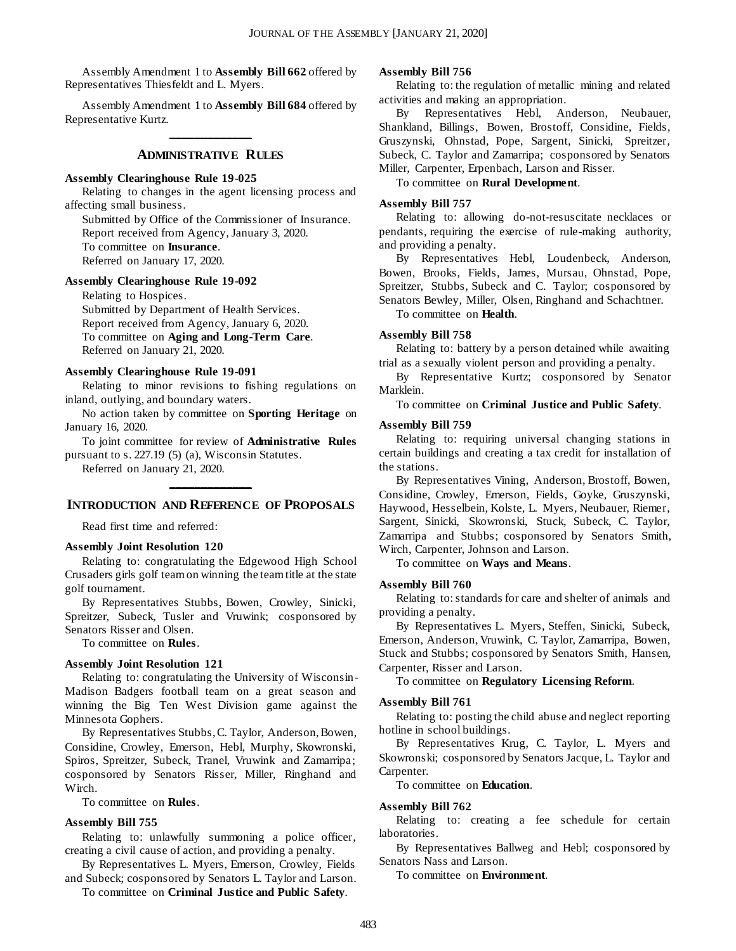Assembly Amendment 1 to **Assembly Bill 662** offered by Representatives Thiesfeldt and L. Myers.

Assembly Amendment 1 to **Assembly Bill 684** offered by Representative Kurtz. **\_\_\_\_\_\_\_\_\_\_\_\_\_**

#### **ADMINISTRATIVE RULES**

#### **Assembly Clearinghouse Rule 19-025**

Relating to changes in the agent licensing process and affecting small business.

Submitted by Office of the Commissioner of Insurance. Report received from Agency, January 3, 2020.

To committee on **Insurance**.

Referred on January 17, 2020.

#### **Assembly Clearinghouse Rule 19-092**

Relating to Hospices. Submitted by Department of Health Services. Report received from Agency, January 6, 2020. To committee on **Aging and Long-Term Care**. Referred on January 21, 2020.

#### **Assembly Clearinghouse Rule 19-091**

Relating to minor revisions to fishing regulations on inland, outlying, and boundary waters.

No action taken by committee on **Sporting Heritage** on January 16, 2020.

To joint committee for review of **Administrative Rules** pursuant to s. 227.19 (5) (a), Wisconsin Statutes.

Referred on January 21, 2020.

## **\_\_\_\_\_\_\_\_\_\_\_\_\_ INTRODUCTION AND REFERENCE OF PROPOSALS**

Read first time and referred:

#### **Assembly Joint Resolution 120**

Relating to: congratulating the Edgewood High School Crusaders girls golf team on winning the team title at the state golf tournament.

By Representatives Stubbs, Bowen, Crowley, Sinicki, Spreitzer, Subeck, Tusler and Vruwink; cosponsored by Senators Risser and Olsen.

To committee on **Rules**.

#### **Assembly Joint Resolution 121**

Relating to: congratulating the University of Wisconsin-Madison Badgers football team on a great season and winning the Big Ten West Division game against the Minnesota Gophers.

By Representatives Stubbs, C. Taylor, Anderson, Bowen, Considine, Crowley, Emerson, Hebl, Murphy, Skowronski, Spiros, Spreitzer, Subeck, Tranel, Vruwink and Zamarripa; cosponsored by Senators Risser, Miller, Ringhand and Wirch.

To committee on **Rules**.

#### **Assembly Bill 755**

Relating to: unlawfully summoning a police officer, creating a civil cause of action, and providing a penalty.

By Representatives L. Myers, Emerson, Crowley, Fields and Subeck; cosponsored by Senators L. Taylor and Larson.

To committee on **Criminal Justice and Public Safety**.

#### **Assembly Bill 756**

Relating to: the regulation of metallic mining and related activities and making an appropriation.

By Representatives Hebl, Anderson, Neubauer, Shankland, Billings, Bowen, Brostoff, Considine, Fields, Gruszynski, Ohnstad, Pope, Sargent, Sinicki, Spreitzer, Subeck, C. Taylor and Zamarripa; cosponsored by Senators Miller, Carpenter, Erpenbach, Larson and Risser.

To committee on **Rural Development**.

#### **Assembly Bill 757**

Relating to: allowing do-not-resuscitate necklaces or pendants, requiring the exercise of rule-making authority, and providing a penalty.

By Representatives Hebl, Loudenbeck, Anderson, Bowen, Brooks, Fields, James, Mursau, Ohnstad, Pope, Spreitzer, Stubbs, Subeck and C. Taylor; cosponsored by Senators Bewley, Miller, Olsen, Ringhand and Schachtner.

To committee on **Health**.

#### **Assembly Bill 758**

Relating to: battery by a person detained while awaiting trial as a sexually violent person and providing a penalty.

By Representative Kurtz; cosponsored by Senator Marklein.

To committee on **Criminal Justice and Public Safety**.

#### **Assembly Bill 759**

Relating to: requiring universal changing stations in certain buildings and creating a tax credit for installation of the stations.

By Representatives Vining, Anderson, Brostoff, Bowen, Considine, Crowley, Emerson, Fields, Goyke, Gruszynski, Haywood, Hesselbein, Kolste, L. Myers, Neubauer, Riemer, Sargent, Sinicki, Skowronski, Stuck, Subeck, C. Taylor, Zamarripa and Stubbs; cosponsored by Senators Smith, Wirch, Carpenter, Johnson and Larson.

To committee on **Ways and Means**.

#### **Assembly Bill 760**

Relating to: standards for care and shelter of animals and providing a penalty.

By Representatives L. Myers, Steffen, Sinicki, Subeck, Emerson, Anderson, Vruwink, C. Taylor, Zamarripa, Bowen, Stuck and Stubbs; cosponsored by Senators Smith, Hansen, Carpenter, Risser and Larson.

To committee on **Regulatory Licensing Reform**.

#### **Assembly Bill 761**

Relating to: posting the child abuse and neglect reporting hotline in school buildings.

By Representatives Krug, C. Taylor, L. Myers and Skowronski; cosponsored by Senators Jacque, L. Taylor and Carpenter.

To committee on **Education**.

#### **Assembly Bill 762**

Relating to: creating a fee schedule for certain laboratories.

By Representatives Ballweg and Hebl; cosponsored by Senators Nass and Larson.

To committee on **Environment**.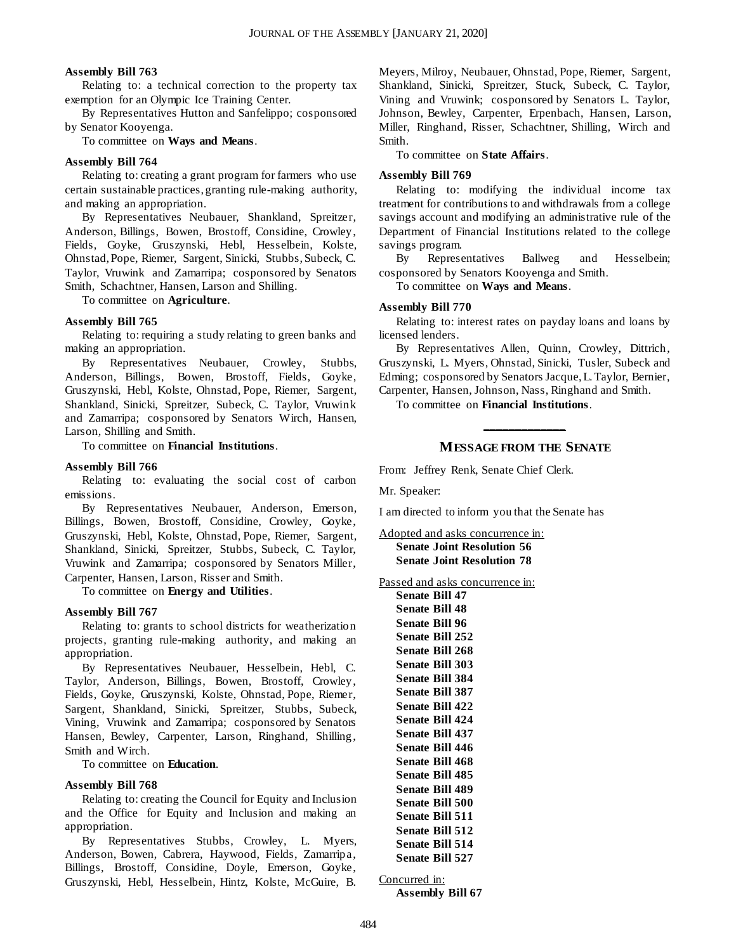#### **Assembly Bill 763**

Relating to: a technical correction to the property tax exemption for an Olympic Ice Training Center.

By Representatives Hutton and Sanfelippo; cosponsored by Senator Kooyenga.

To committee on **Ways and Means**.

#### **Assembly Bill 764**

Relating to: creating a grant program for farmers who use certain sustainable practices, granting rule-making authority, and making an appropriation.

By Representatives Neubauer, Shankland, Spreitzer, Anderson, Billings, Bowen, Brostoff, Considine, Crowley, Fields, Goyke, Gruszynski, Hebl, Hesselbein, Kolste, Ohnstad, Pope, Riemer, Sargent, Sinicki, Stubbs, Subeck, C. Taylor, Vruwink and Zamarripa; cosponsored by Senators Smith, Schachtner, Hansen, Larson and Shilling.

To committee on **Agriculture**.

#### **Assembly Bill 765**

Relating to: requiring a study relating to green banks and making an appropriation.

By Representatives Neubauer, Crowley, Stubbs, Anderson, Billings, Bowen, Brostoff, Fields, Goyke, Gruszynski, Hebl, Kolste, Ohnstad, Pope, Riemer, Sargent, Shankland, Sinicki, Spreitzer, Subeck, C. Taylor, Vruwink and Zamarripa; cosponsored by Senators Wirch, Hansen, Larson, Shilling and Smith.

To committee on **Financial Institutions**.

#### **Assembly Bill 766**

Relating to: evaluating the social cost of carbon emissions.

By Representatives Neubauer, Anderson, Emerson, Billings, Bowen, Brostoff, Considine, Crowley, Goyke, Gruszynski, Hebl, Kolste, Ohnstad, Pope, Riemer, Sargent, Shankland, Sinicki, Spreitzer, Stubbs, Subeck, C. Taylor, Vruwink and Zamarripa; cosponsored by Senators Miller, Carpenter, Hansen, Larson, Risser and Smith.

To committee on **Energy and Utilities**.

#### **Assembly Bill 767**

Relating to: grants to school districts for weatherization projects, granting rule-making authority, and making an appropriation.

By Representatives Neubauer, Hesselbein, Hebl, C. Taylor, Anderson, Billings, Bowen, Brostoff, Crowley, Fields, Goyke, Gruszynski, Kolste, Ohnstad, Pope, Riemer, Sargent, Shankland, Sinicki, Spreitzer, Stubbs, Subeck, Vining, Vruwink and Zamarripa; cosponsored by Senators Hansen, Bewley, Carpenter, Larson, Ringhand, Shilling, Smith and Wirch.

To committee on **Education**.

#### **Assembly Bill 768**

Relating to: creating the Council for Equity and Inclusion and the Office for Equity and Inclusion and making an appropriation.

By Representatives Stubbs, Crowley, L. Myers, Anderson, Bowen, Cabrera, Haywood, Fields, Zamarripa, Billings, Brostoff, Considine, Doyle, Emerson, Goyke, Gruszynski, Hebl, Hesselbein, Hintz, Kolste, McGuire, B. Meyers, Milroy, Neubauer, Ohnstad, Pope, Riemer, Sargent, Shankland, Sinicki, Spreitzer, Stuck, Subeck, C. Taylor, Vining and Vruwink; cosponsored by Senators L. Taylor, Johnson, Bewley, Carpenter, Erpenbach, Hansen, Larson, Miller, Ringhand, Risser, Schachtner, Shilling, Wirch and Smith.

To committee on **State Affairs**.

#### **Assembly Bill 769**

Relating to: modifying the individual income tax treatment for contributions to and withdrawals from a college savings account and modifying an administrative rule of the Department of Financial Institutions related to the college savings program.

By Representatives Ballweg and Hesselbein; cosponsored by Senators Kooyenga and Smith.

To committee on **Ways and Means**.

#### **Assembly Bill 770**

Relating to: interest rates on payday loans and loans by licensed lenders.

By Representatives Allen, Quinn, Crowley, Dittrich, Gruszynski, L. Myers, Ohnstad, Sinicki, Tusler, Subeck and Edming; cosponsored by Senators Jacque, L. Taylor, Bernier, Carpenter, Hansen, Johnson, Nass, Ringhand and Smith.

To committee on **Financial Institutions**.

## **\_\_\_\_\_\_\_\_\_\_\_\_\_ MESSAGE FROM THE SENATE**

From: Jeffrey Renk, Senate Chief Clerk.

Mr. Speaker:

I am directed to inform you that the Senate has

Adopted and asks concurrence in: **Senate Joint Resolution 56 Senate Joint Resolution 78**

Passed and asks concurrence in:

| <b>Senate Bill 47</b>  |
|------------------------|
| Senate Bill 48         |
| <b>Senate Bill 96</b>  |
| <b>Senate Bill 252</b> |
| <b>Senate Bill 268</b> |
| <b>Senate Bill 303</b> |
| <b>Senate Bill 384</b> |
| <b>Senate Bill 387</b> |
| <b>Senate Bill 422</b> |
| <b>Senate Bill 424</b> |
| <b>Senate Bill 437</b> |
| <b>Senate Bill 446</b> |
| <b>Senate Bill 468</b> |
| Senate Bill 485        |
| <b>Senate Bill 489</b> |
| <b>Senate Bill 500</b> |
| <b>Senate Bill 511</b> |
| <b>Senate Bill 512</b> |
| <b>Senate Bill 514</b> |
| <b>Senate Bill 527</b> |

Concurred in: **Assembly Bill 67**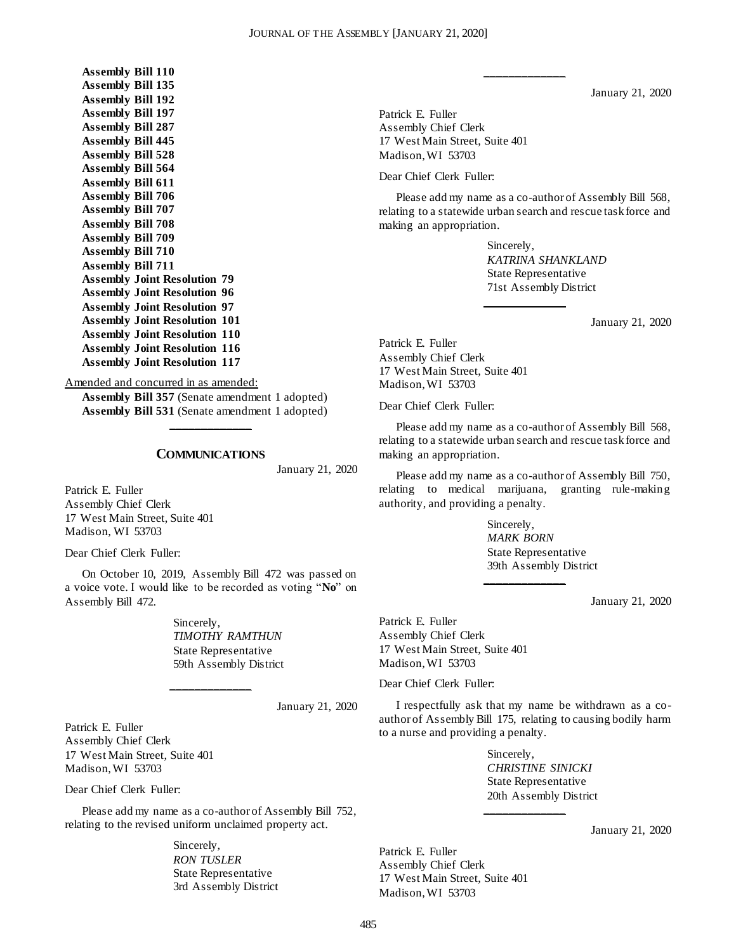**Assembly Bill 110 Assembly Bill 135 Assembly Bill 192 Assembly Bill 197 Assembly Bill 287 Assembly Bill 445 Assembly Bill 528 Assembly Bill 564 Assembly Bill 611 Assembly Bill 706 Assembly Bill 707 Assembly Bill 708 Assembly Bill 709 Assembly Bill 710 Assembly Bill 711 Assembly Joint Resolution 79 Assembly Joint Resolution 96 Assembly Joint Resolution 97 Assembly Joint Resolution 101 Assembly Joint Resolution 110 Assembly Joint Resolution 116 Assembly Joint Resolution 117**

Amended and concurred in as amended:

**Assembly Bill 357** (Senate amendment 1 adopted) **Assembly Bill 531** (Senate amendment 1 adopted)

#### **COMMUNICATIONS**

**\_\_\_\_\_\_\_\_\_\_\_\_\_**

January 21, 2020

Patrick E. Fuller Assembly Chief Clerk 17 West Main Street, Suite 401 Madison, WI 53703

Dear Chief Clerk Fuller:

On October 10, 2019, Assembly Bill 472 was passed on a voice vote. I would like to be recorded as voting "**No**" on Assembly Bill 472.

**\_\_\_\_\_\_\_\_\_\_\_\_\_**

Sincerely, *TIMOTHY RAMTHUN* State Representative 59th Assembly District

January 21, 2020

Patrick E. Fuller Assembly Chief Clerk 17 West Main Street, Suite 401 Madison, WI 53703

Dear Chief Clerk Fuller:

Please add my name as a co-author of Assembly Bill 752, relating to the revised uniform unclaimed property act.

> Sincerely, *RON TUSLER* State Representative 3rd Assembly District

January 21, 2020

Patrick E. Fuller Assembly Chief Clerk 17 West Main Street, Suite 401 Madison, WI 53703

Dear Chief Clerk Fuller:

Please add my name as a co-author of Assembly Bill 568, relating to a statewide urban search and rescue task force and making an appropriation.

**\_\_\_\_\_\_\_\_\_\_\_\_\_**

**\_\_\_\_\_\_\_\_\_\_\_\_\_**

Sincerely, *KATRINA SHANKLAND* State Representative 71st Assembly District

January 21, 2020

Patrick E. Fuller Assembly Chief Clerk 17 West Main Street, Suite 401 Madison, WI 53703

Dear Chief Clerk Fuller:

Please add my name as a co-author of Assembly Bill 568, relating to a statewide urban search and rescue task force and making an appropriation.

Please add my name as a co-author of Assembly Bill 750, relating to medical marijuana, granting rule-making authority, and providing a penalty.

**\_\_\_\_\_\_\_\_\_\_\_\_\_**

Sincerely, *MARK BORN* State Representative 39th Assembly District

January 21, 2020

Patrick E. Fuller Assembly Chief Clerk 17 West Main Street, Suite 401 Madison, WI 53703

Dear Chief Clerk Fuller:

I respectfully ask that my name be withdrawn as a coauthor of Assembly Bill 175, relating to causing bodily harm to a nurse and providing a penalty.

**\_\_\_\_\_\_\_\_\_\_\_\_\_**

Sincerely, *CHRISTINE SINICKI* State Representative 20th Assembly District

January 21, 2020

Patrick E. Fuller Assembly Chief Clerk 17 West Main Street, Suite 401 Madison, WI 53703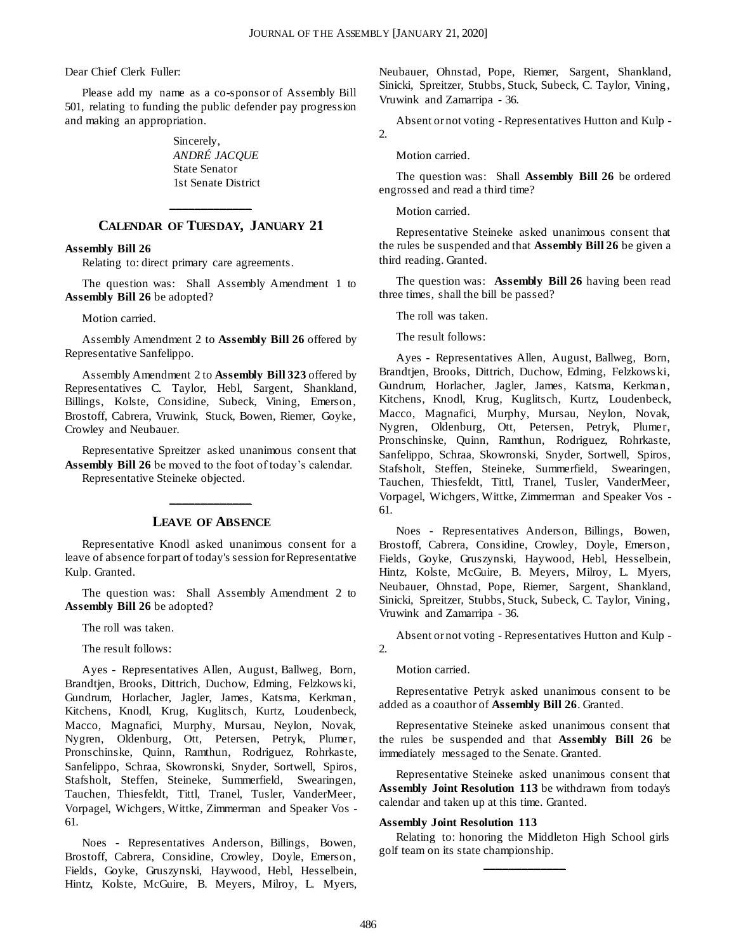Dear Chief Clerk Fuller:

Please add my name as a co-sponsor of Assembly Bill 501, relating to funding the public defender pay progression and making an appropriation.

> Sincerely, *ANDRÉ JACQUE* State Senator 1st Senate District

## **\_\_\_\_\_\_\_\_\_\_\_\_\_ CALENDAR OF TUESDAY, JANUARY 21**

#### **Assembly Bill 26**

Relating to: direct primary care agreements.

The question was: Shall Assembly Amendment 1 to **Assembly Bill 26** be adopted?

Motion carried.

Assembly Amendment 2 to **Assembly Bill 26** offered by Representative Sanfelippo.

Assembly Amendment 2 to **Assembly Bill 323** offered by Representatives C. Taylor, Hebl, Sargent, Shankland, Billings, Kolste, Considine, Subeck, Vining, Emerson, Brostoff, Cabrera, Vruwink, Stuck, Bowen, Riemer, Goyke, Crowley and Neubauer.

Representative Spreitzer asked unanimous consent that **Assembly Bill 26** be moved to the foot of today's calendar. Representative Steineke objected.

#### **LEAVE OF ABSENCE**

**\_\_\_\_\_\_\_\_\_\_\_\_\_**

Representative Knodl asked unanimous consent for a leave of absence for part of today's session for Representative Kulp. Granted.

The question was: Shall Assembly Amendment 2 to **Assembly Bill 26** be adopted?

The roll was taken.

The result follows:

Ayes - Representatives Allen, August, Ballweg, Born, Brandtjen, Brooks, Dittrich, Duchow, Edming, Felzkows ki, Gundrum, Horlacher, Jagler, James, Katsma, Kerkman, Kitchens, Knodl, Krug, Kuglitsch, Kurtz, Loudenbeck, Macco, Magnafici, Murphy, Mursau, Neylon, Novak, Nygren, Oldenburg, Ott, Petersen, Petryk, Plumer, Pronschinske, Quinn, Ramthun, Rodriguez, Rohrkaste, Sanfelippo, Schraa, Skowronski, Snyder, Sortwell, Spiros, Stafsholt, Steffen, Steineke, Summerfield, Swearingen, Tauchen, Thiesfeldt, Tittl, Tranel, Tusler, VanderMeer, Vorpagel, Wichgers, Wittke, Zimmerman and Speaker Vos - 61.

Noes - Representatives Anderson, Billings, Bowen, Brostoff, Cabrera, Considine, Crowley, Doyle, Emerson, Fields, Goyke, Gruszynski, Haywood, Hebl, Hesselbein, Hintz, Kolste, McGuire, B. Meyers, Milroy, L. Myers, Neubauer, Ohnstad, Pope, Riemer, Sargent, Shankland, Sinicki, Spreitzer, Stubbs, Stuck, Subeck, C. Taylor, Vining, Vruwink and Zamarripa - 36.

Absent or not voting - Representatives Hutton and Kulp - 2.

Motion carried.

The question was: Shall **Assembly Bill 26** be ordered engrossed and read a third time?

Motion carried.

Representative Steineke asked unanimous consent that the rules be suspended and that **Assembly Bill 26** be given a third reading. Granted.

The question was: **Assembly Bill 26** having been read three times, shall the bill be passed?

The roll was taken.

The result follows:

Ayes - Representatives Allen, August, Ballweg, Born, Brandtjen, Brooks, Dittrich, Duchow, Edming, Felzkows ki, Gundrum, Horlacher, Jagler, James, Katsma, Kerkman, Kitchens, Knodl, Krug, Kuglitsch, Kurtz, Loudenbeck, Macco, Magnafici, Murphy, Mursau, Neylon, Novak, Nygren, Oldenburg, Ott, Petersen, Petryk, Plumer, Pronschinske, Quinn, Ramthun, Rodriguez, Rohrkaste, Sanfelippo, Schraa, Skowronski, Snyder, Sortwell, Spiros, Stafsholt, Steffen, Steineke, Summerfield, Swearingen, Tauchen, Thiesfeldt, Tittl, Tranel, Tusler, VanderMeer, Vorpagel, Wichgers, Wittke, Zimmerman and Speaker Vos - 61.

Noes - Representatives Anderson, Billings, Bowen, Brostoff, Cabrera, Considine, Crowley, Doyle, Emerson, Fields, Goyke, Gruszynski, Haywood, Hebl, Hesselbein, Hintz, Kolste, McGuire, B. Meyers, Milroy, L. Myers, Neubauer, Ohnstad, Pope, Riemer, Sargent, Shankland, Sinicki, Spreitzer, Stubbs, Stuck, Subeck, C. Taylor, Vining, Vruwink and Zamarripa - 36.

Absent or not voting - Representatives Hutton and Kulp - 2.

Motion carried.

Representative Petryk asked unanimous consent to be added as a coauthor of **Assembly Bill 26**. Granted.

Representative Steineke asked unanimous consent that the rules be suspended and that **Assembly Bill 26** be immediately messaged to the Senate. Granted.

Representative Steineke asked unanimous consent that **Assembly Joint Resolution 113** be withdrawn from today's calendar and taken up at this time. Granted.

#### **Assembly Joint Resolution 113**

Relating to: honoring the Middleton High School girls golf team on its state championship. **\_\_\_\_\_\_\_\_\_\_\_\_\_**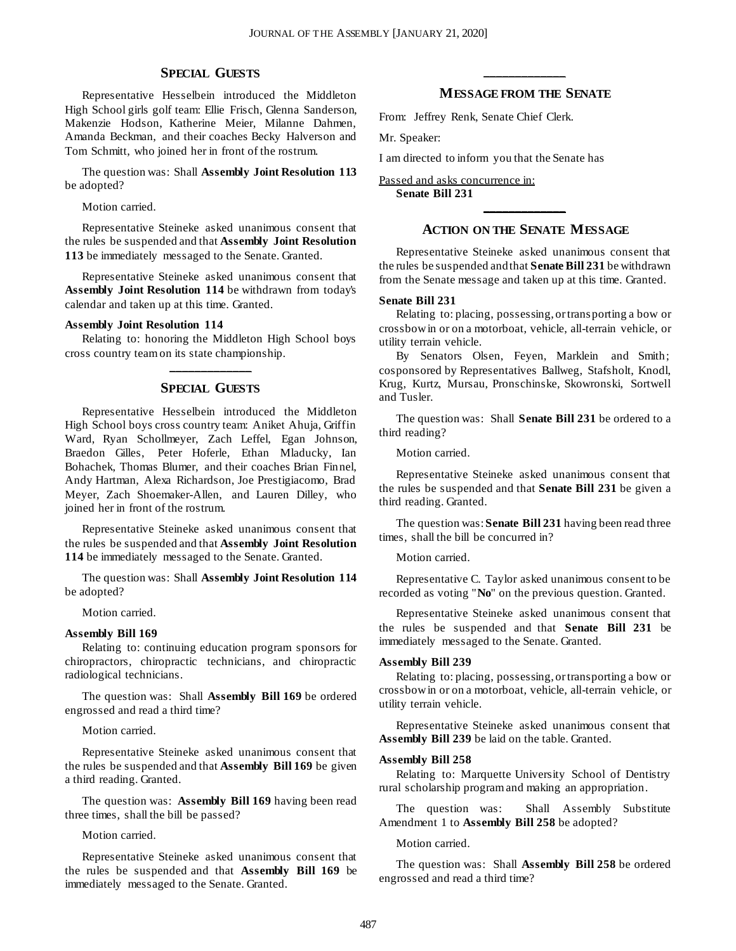#### **SPECIAL GUESTS**

Representative Hesselbein introduced the Middleton High School girls golf team: Ellie Frisch, Glenna Sanderson, Makenzie Hodson, Katherine Meier, Milanne Dahmen, Amanda Beckman, and their coaches Becky Halverson and Tom Schmitt, who joined her in front of the rostrum.

The question was: Shall **Assembly Joint Resolution 113** be adopted?

Motion carried.

Representative Steineke asked unanimous consent that the rules be suspended and that **Assembly Joint Resolution 113** be immediately messaged to the Senate. Granted.

Representative Steineke asked unanimous consent that **Assembly Joint Resolution 114** be withdrawn from today's calendar and taken up at this time. Granted.

#### **Assembly Joint Resolution 114**

Relating to: honoring the Middleton High School boys cross country team on its state championship. **\_\_\_\_\_\_\_\_\_\_\_\_\_**

#### **SPECIAL GUESTS**

Representative Hesselbein introduced the Middleton High School boys cross country team: Aniket Ahuja, Griffin Ward, Ryan Schollmeyer, Zach Leffel, Egan Johnson, Braedon Gilles, Peter Hoferle, Ethan Mladucky, Ian Bohachek, Thomas Blumer, and their coaches Brian Finnel, Andy Hartman, Alexa Richardson, Joe Prestigiacomo, Brad Meyer, Zach Shoemaker-Allen, and Lauren Dilley, who joined her in front of the rostrum.

Representative Steineke asked unanimous consent that the rules be suspended and that **Assembly Joint Resolution 114** be immediately messaged to the Senate. Granted.

The question was: Shall **Assembly Joint Resolution 114** be adopted?

Motion carried.

#### **Assembly Bill 169**

Relating to: continuing education program sponsors for chiropractors, chiropractic technicians, and chiropractic radiological technicians.

The question was: Shall **Assembly Bill 169** be ordered engrossed and read a third time?

Motion carried.

Representative Steineke asked unanimous consent that the rules be suspended and that **Assembly Bill 169** be given a third reading. Granted.

The question was: **Assembly Bill 169** having been read three times, shall the bill be passed?

Motion carried.

Representative Steineke asked unanimous consent that the rules be suspended and that **Assembly Bill 169** be immediately messaged to the Senate. Granted.

## **\_\_\_\_\_\_\_\_\_\_\_\_\_ MESSAGE FROM THE SENATE**

From: Jeffrey Renk, Senate Chief Clerk.

Mr. Speaker:

I am directed to inform you that the Senate has

Passed and asks concurrence in: **Senate Bill 231**

## **\_\_\_\_\_\_\_\_\_\_\_\_\_ ACTION ON THE SENATE MESSAGE**

Representative Steineke asked unanimous consent that the rules be suspended and that **Senate Bill 231** be withdrawn from the Senate message and taken up at this time. Granted.

#### **Senate Bill 231**

Relating to: placing, possessing, or transporting a bow or crossbow in or on a motorboat, vehicle, all-terrain vehicle, or utility terrain vehicle.

By Senators Olsen, Feyen, Marklein and Smith; cosponsored by Representatives Ballweg, Stafsholt, Knodl, Krug, Kurtz, Mursau, Pronschinske, Skowronski, Sortwell and Tusler.

The question was: Shall **Senate Bill 231** be ordered to a third reading?

Motion carried.

Representative Steineke asked unanimous consent that the rules be suspended and that **Senate Bill 231** be given a third reading. Granted.

The question was: **Senate Bill 231** having been read three times, shall the bill be concurred in?

Motion carried.

Representative C. Taylor asked unanimous consent to be recorded as voting "**No**" on the previous question. Granted.

Representative Steineke asked unanimous consent that the rules be suspended and that **Senate Bill 231** be immediately messaged to the Senate. Granted.

#### **Assembly Bill 239**

Relating to: placing, possessing, or transporting a bow or crossbow in or on a motorboat, vehicle, all-terrain vehicle, or utility terrain vehicle.

Representative Steineke asked unanimous consent that **Assembly Bill 239** be laid on the table. Granted.

#### **Assembly Bill 258**

Relating to: Marquette University School of Dentistry rural scholarship program and making an appropriation.

The question was: Shall Assembly Substitute Amendment 1 to **Assembly Bill 258** be adopted?

Motion carried.

The question was: Shall **Assembly Bill 258** be ordered engrossed and read a third time?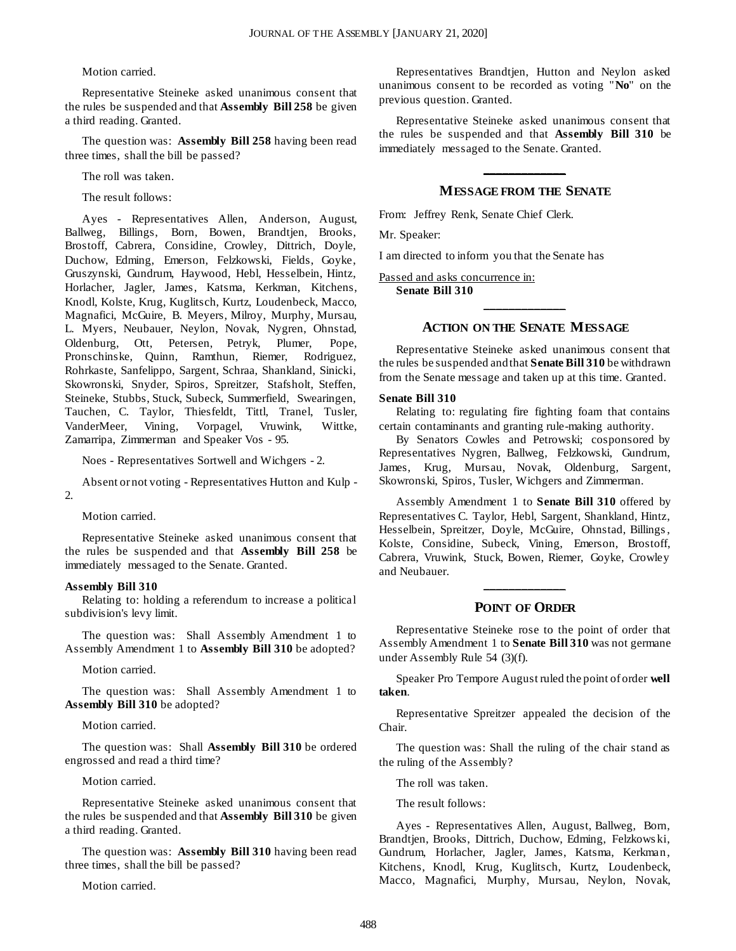Motion carried.

Representative Steineke asked unanimous consent that the rules be suspended and that **Assembly Bill 258** be given a third reading. Granted.

The question was: **Assembly Bill 258** having been read three times, shall the bill be passed?

The roll was taken.

The result follows:

Ayes - Representatives Allen, Anderson, August, Ballweg, Billings, Born, Bowen, Brandtjen, Brooks, Brostoff, Cabrera, Considine, Crowley, Dittrich, Doyle, Duchow, Edming, Emerson, Felzkowski, Fields, Goyke, Gruszynski, Gundrum, Haywood, Hebl, Hesselbein, Hintz, Horlacher, Jagler, James, Katsma, Kerkman, Kitchens, Knodl, Kolste, Krug, Kuglitsch, Kurtz, Loudenbeck, Macco, Magnafici, McGuire, B. Meyers, Milroy, Murphy, Mursau, L. Myers, Neubauer, Neylon, Novak, Nygren, Ohnstad, Oldenburg, Ott, Petersen, Petryk, Plumer, Pope, Pronschinske, Quinn, Ramthun, Riemer, Rodriguez, Rohrkaste, Sanfelippo, Sargent, Schraa, Shankland, Sinicki, Skowronski, Snyder, Spiros, Spreitzer, Stafsholt, Steffen, Steineke, Stubbs, Stuck, Subeck, Summerfield, Swearingen, Tauchen, C. Taylor, Thiesfeldt, Tittl, Tranel, Tusler, VanderMeer, Vining, Vorpagel, Vruwink, Wittke, Zamarripa, Zimmerman and Speaker Vos - 95.

Noes - Representatives Sortwell and Wichgers - 2.

Absent or not voting - Representatives Hutton and Kulp - 2.

Motion carried.

Representative Steineke asked unanimous consent that the rules be suspended and that **Assembly Bill 258** be immediately messaged to the Senate. Granted.

#### **Assembly Bill 310**

Relating to: holding a referendum to increase a political subdivision's levy limit.

The question was: Shall Assembly Amendment 1 to Assembly Amendment 1 to **Assembly Bill 310** be adopted?

Motion carried.

The question was: Shall Assembly Amendment 1 to **Assembly Bill 310** be adopted?

Motion carried.

The question was: Shall **Assembly Bill 310** be ordered engrossed and read a third time?

Motion carried.

Representative Steineke asked unanimous consent that the rules be suspended and that **Assembly Bill 310** be given a third reading. Granted.

The question was: **Assembly Bill 310** having been read three times, shall the bill be passed?

Motion carried.

Representatives Brandtjen, Hutton and Neylon asked unanimous consent to be recorded as voting "**No**" on the previous question. Granted.

Representative Steineke asked unanimous consent that the rules be suspended and that **Assembly Bill 310** be immediately messaged to the Senate. Granted.

## **\_\_\_\_\_\_\_\_\_\_\_\_\_ MESSAGE FROM THE SENATE**

From: Jeffrey Renk, Senate Chief Clerk.

Mr. Speaker:

I am directed to inform you that the Senate has

Passed and asks concurrence in: **Senate Bill 310**

## **\_\_\_\_\_\_\_\_\_\_\_\_\_ ACTION ON THE SENATE MESSAGE**

Representative Steineke asked unanimous consent that the rules be suspended and that **Senate Bill 310** be withdrawn from the Senate message and taken up at this time. Granted.

#### **Senate Bill 310**

Relating to: regulating fire fighting foam that contains certain contaminants and granting rule-making authority.

By Senators Cowles and Petrowski; cosponsored by Representatives Nygren, Ballweg, Felzkowski, Gundrum, James, Krug, Mursau, Novak, Oldenburg, Sargent, Skowronski, Spiros, Tusler, Wichgers and Zimmerman.

Assembly Amendment 1 to **Senate Bill 310** offered by Representatives C. Taylor, Hebl, Sargent, Shankland, Hintz, Hesselbein, Spreitzer, Doyle, McGuire, Ohnstad, Billings , Kolste, Considine, Subeck, Vining, Emerson, Brostoff, Cabrera, Vruwink, Stuck, Bowen, Riemer, Goyke, Crowley and Neubauer.

## **\_\_\_\_\_\_\_\_\_\_\_\_\_ POINT OF ORDER**

Representative Steineke rose to the point of order that Assembly Amendment 1 to **Senate Bill 310** was not germane under Assembly Rule 54 (3)(f).

Speaker Pro Tempore August ruled the point of order **well taken**.

Representative Spreitzer appealed the decision of the Chair.

The question was: Shall the ruling of the chair stand as the ruling of the Assembly?

The roll was taken.

The result follows:

Ayes - Representatives Allen, August, Ballweg, Born, Brandtjen, Brooks, Dittrich, Duchow, Edming, Felzkows ki, Gundrum, Horlacher, Jagler, James, Katsma, Kerkman, Kitchens, Knodl, Krug, Kuglitsch, Kurtz, Loudenbeck, Macco, Magnafici, Murphy, Mursau, Neylon, Novak,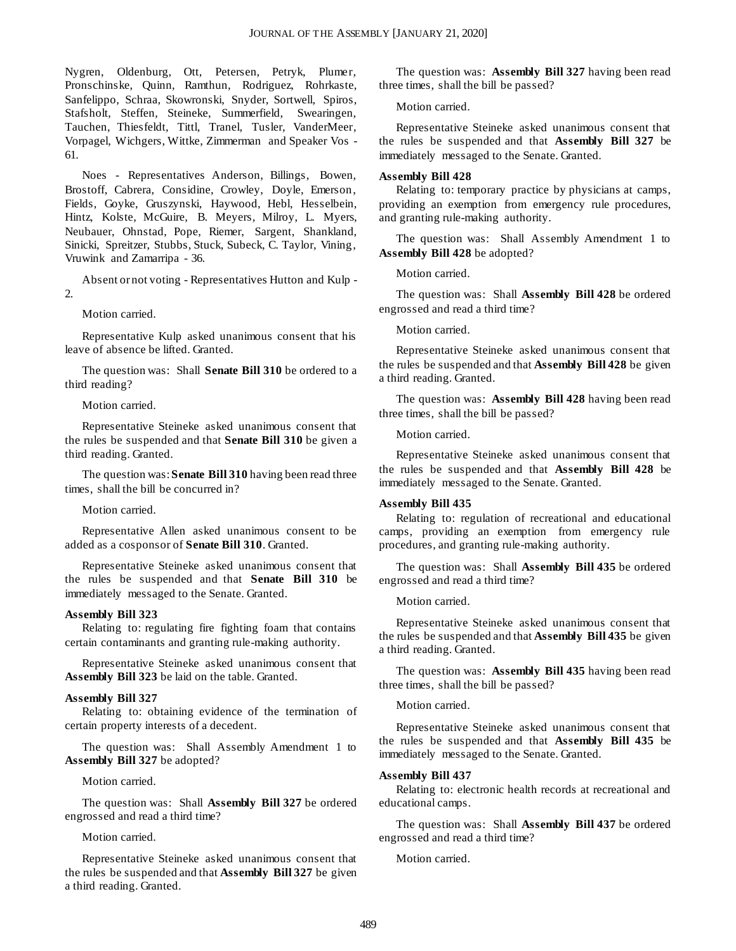Nygren, Oldenburg, Ott, Petersen, Petryk, Plumer, Pronschinske, Quinn, Ramthun, Rodriguez, Rohrkaste, Sanfelippo, Schraa, Skowronski, Snyder, Sortwell, Spiros, Stafsholt, Steffen, Steineke, Summerfield, Swearingen, Tauchen, Thiesfeldt, Tittl, Tranel, Tusler, VanderMeer, Vorpagel, Wichgers, Wittke, Zimmerman and Speaker Vos - 61.

Noes - Representatives Anderson, Billings, Bowen, Brostoff, Cabrera, Considine, Crowley, Doyle, Emerson, Fields, Goyke, Gruszynski, Haywood, Hebl, Hesselbein, Hintz, Kolste, McGuire, B. Meyers, Milroy, L. Myers, Neubauer, Ohnstad, Pope, Riemer, Sargent, Shankland, Sinicki, Spreitzer, Stubbs, Stuck, Subeck, C. Taylor, Vining, Vruwink and Zamarripa - 36.

Absent or not voting - Representatives Hutton and Kulp - 2.

Motion carried.

Representative Kulp asked unanimous consent that his leave of absence be lifted. Granted.

The question was: Shall **Senate Bill 310** be ordered to a third reading?

Motion carried.

Representative Steineke asked unanimous consent that the rules be suspended and that **Senate Bill 310** be given a third reading. Granted.

The question was: **Senate Bill 310** having been read three times, shall the bill be concurred in?

Motion carried.

Representative Allen asked unanimous consent to be added as a cosponsor of **Senate Bill 310**. Granted.

Representative Steineke asked unanimous consent that the rules be suspended and that **Senate Bill 310** be immediately messaged to the Senate. Granted.

#### **Assembly Bill 323**

Relating to: regulating fire fighting foam that contains certain contaminants and granting rule-making authority.

Representative Steineke asked unanimous consent that **Assembly Bill 323** be laid on the table. Granted.

#### **Assembly Bill 327**

Relating to: obtaining evidence of the termination of certain property interests of a decedent.

The question was: Shall Assembly Amendment 1 to **Assembly Bill 327** be adopted?

Motion carried.

The question was: Shall **Assembly Bill 327** be ordered engrossed and read a third time?

Motion carried.

Representative Steineke asked unanimous consent that the rules be suspended and that **Assembly Bill 327** be given a third reading. Granted.

The question was: **Assembly Bill 327** having been read three times, shall the bill be passed?

Motion carried.

Representative Steineke asked unanimous consent that the rules be suspended and that **Assembly Bill 327** be immediately messaged to the Senate. Granted.

#### **Assembly Bill 428**

Relating to: temporary practice by physicians at camps, providing an exemption from emergency rule procedures, and granting rule-making authority.

The question was: Shall Assembly Amendment 1 to **Assembly Bill 428** be adopted?

Motion carried.

The question was: Shall **Assembly Bill 428** be ordered engrossed and read a third time?

Motion carried.

Representative Steineke asked unanimous consent that the rules be suspended and that **Assembly Bill 428** be given a third reading. Granted.

The question was: **Assembly Bill 428** having been read three times, shall the bill be passed?

Motion carried.

Representative Steineke asked unanimous consent that the rules be suspended and that **Assembly Bill 428** be immediately messaged to the Senate. Granted.

#### **Assembly Bill 435**

Relating to: regulation of recreational and educational camps, providing an exemption from emergency rule procedures, and granting rule-making authority.

The question was: Shall **Assembly Bill 435** be ordered engrossed and read a third time?

Motion carried.

Representative Steineke asked unanimous consent that the rules be suspended and that **Assembly Bill 435** be given a third reading. Granted.

The question was: **Assembly Bill 435** having been read three times, shall the bill be passed?

Motion carried.

Representative Steineke asked unanimous consent that the rules be suspended and that **Assembly Bill 435** be immediately messaged to the Senate. Granted.

#### **Assembly Bill 437**

Relating to: electronic health records at recreational and educational camps.

The question was: Shall **Assembly Bill 437** be ordered engrossed and read a third time?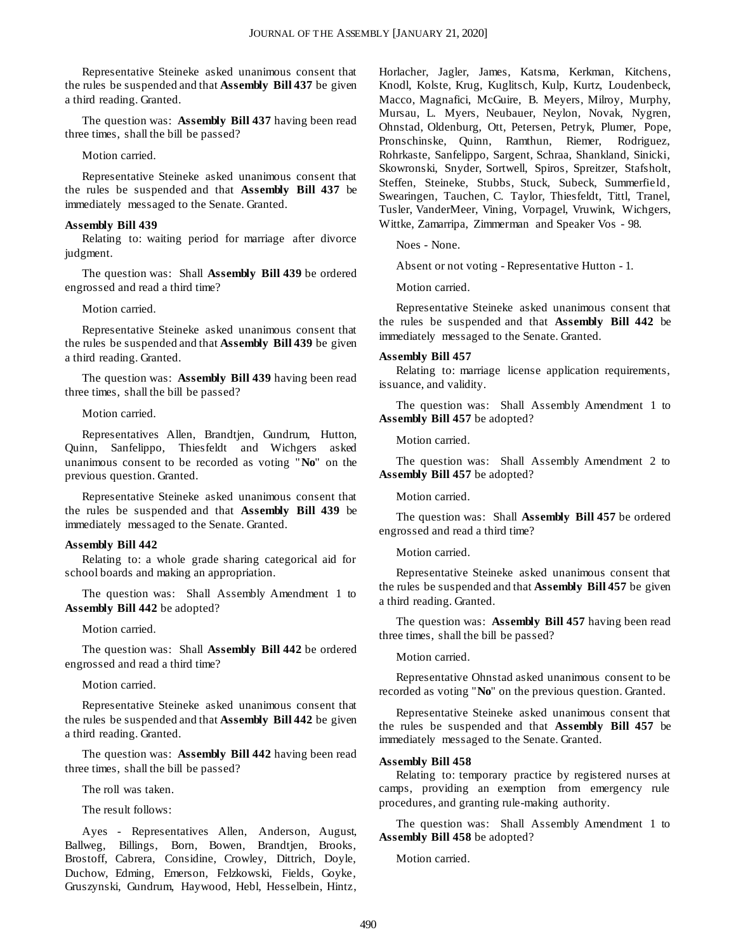Representative Steineke asked unanimous consent that the rules be suspended and that **Assembly Bill 437** be given a third reading. Granted.

The question was: **Assembly Bill 437** having been read three times, shall the bill be passed?

#### Motion carried.

Representative Steineke asked unanimous consent that the rules be suspended and that **Assembly Bill 437** be immediately messaged to the Senate. Granted.

#### **Assembly Bill 439**

Relating to: waiting period for marriage after divorce judgment.

The question was: Shall **Assembly Bill 439** be ordered engrossed and read a third time?

#### Motion carried.

Representative Steineke asked unanimous consent that the rules be suspended and that **Assembly Bill 439** be given a third reading. Granted.

The question was: **Assembly Bill 439** having been read three times, shall the bill be passed?

#### Motion carried.

Representatives Allen, Brandtjen, Gundrum, Hutton, Quinn, Sanfelippo, Thiesfeldt and Wichgers asked unanimous consent to be recorded as voting "**No**" on the previous question. Granted.

Representative Steineke asked unanimous consent that the rules be suspended and that **Assembly Bill 439** be immediately messaged to the Senate. Granted.

#### **Assembly Bill 442**

Relating to: a whole grade sharing categorical aid for school boards and making an appropriation.

The question was: Shall Assembly Amendment 1 to **Assembly Bill 442** be adopted?

#### Motion carried.

The question was: Shall **Assembly Bill 442** be ordered engrossed and read a third time?

Motion carried.

Representative Steineke asked unanimous consent that the rules be suspended and that **Assembly Bill 442** be given a third reading. Granted.

The question was: **Assembly Bill 442** having been read three times, shall the bill be passed?

The roll was taken.

The result follows:

Ayes - Representatives Allen, Anderson, August, Ballweg, Billings, Born, Bowen, Brandtjen, Brooks, Brostoff, Cabrera, Considine, Crowley, Dittrich, Doyle, Duchow, Edming, Emerson, Felzkowski, Fields, Goyke, Gruszynski, Gundrum, Haywood, Hebl, Hesselbein, Hintz, Horlacher, Jagler, James, Katsma, Kerkman, Kitchens, Knodl, Kolste, Krug, Kuglitsch, Kulp, Kurtz, Loudenbeck, Macco, Magnafici, McGuire, B. Meyers, Milroy, Murphy, Mursau, L. Myers, Neubauer, Neylon, Novak, Nygren, Ohnstad, Oldenburg, Ott, Petersen, Petryk, Plumer, Pope, Pronschinske, Quinn, Ramthun, Riemer, Rodriguez, Rohrkaste, Sanfelippo, Sargent, Schraa, Shankland, Sinicki, Skowronski, Snyder, Sortwell, Spiros, Spreitzer, Stafsholt, Steffen, Steineke, Stubbs, Stuck, Subeck, Summerfield, Swearingen, Tauchen, C. Taylor, Thiesfeldt, Tittl, Tranel, Tusler, VanderMeer, Vining, Vorpagel, Vruwink, Wichgers, Wittke, Zamarripa, Zimmerman and Speaker Vos - 98.

Noes - None.

Absent or not voting - Representative Hutton - 1.

Motion carried.

Representative Steineke asked unanimous consent that the rules be suspended and that **Assembly Bill 442** be immediately messaged to the Senate. Granted.

#### **Assembly Bill 457**

Relating to: marriage license application requirements, issuance, and validity.

The question was: Shall Assembly Amendment 1 to **Assembly Bill 457** be adopted?

Motion carried.

The question was: Shall Assembly Amendment 2 to **Assembly Bill 457** be adopted?

Motion carried.

The question was: Shall **Assembly Bill 457** be ordered engrossed and read a third time?

#### Motion carried.

Representative Steineke asked unanimous consent that the rules be suspended and that **Assembly Bill 457** be given a third reading. Granted.

The question was: **Assembly Bill 457** having been read three times, shall the bill be passed?

Motion carried.

Representative Ohnstad asked unanimous consent to be recorded as voting "**No**" on the previous question. Granted.

Representative Steineke asked unanimous consent that the rules be suspended and that **Assembly Bill 457** be immediately messaged to the Senate. Granted.

#### **Assembly Bill 458**

Relating to: temporary practice by registered nurses at camps, providing an exemption from emergency rule procedures, and granting rule-making authority.

The question was: Shall Assembly Amendment 1 to **Assembly Bill 458** be adopted?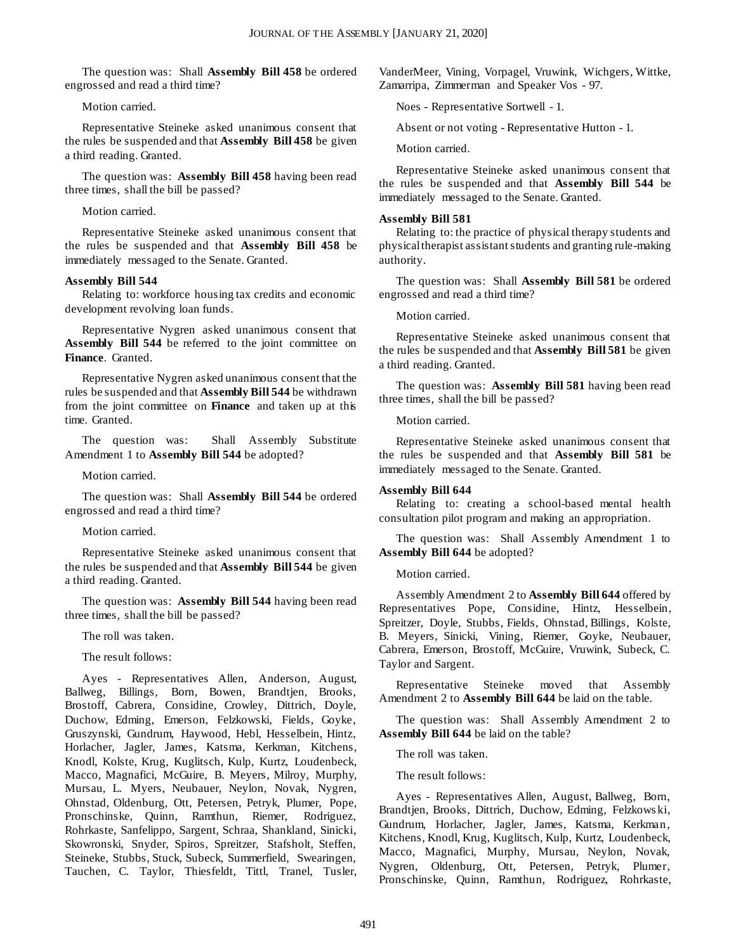The question was: Shall **Assembly Bill 458** be ordered engrossed and read a third time?

Motion carried.

Representative Steineke asked unanimous consent that the rules be suspended and that **Assembly Bill 458** be given a third reading. Granted.

The question was: **Assembly Bill 458** having been read three times, shall the bill be passed?

#### Motion carried.

Representative Steineke asked unanimous consent that the rules be suspended and that **Assembly Bill 458** be immediately messaged to the Senate. Granted.

#### **Assembly Bill 544**

Relating to: workforce housing tax credits and economic development revolving loan funds.

Representative Nygren asked unanimous consent that **Assembly Bill 544** be referred to the joint committee on **Finance**. Granted.

Representative Nygren asked unanimous consent that the rules be suspended and that **Assembly Bill 544** be withdrawn from the joint committee on **Finance** and taken up at this time. Granted.

The question was: Shall Assembly Substitute Amendment 1 to **Assembly Bill 544** be adopted?

Motion carried.

The question was: Shall **Assembly Bill 544** be ordered engrossed and read a third time?

#### Motion carried.

Representative Steineke asked unanimous consent that the rules be suspended and that **Assembly Bill 544** be given a third reading. Granted.

The question was: **Assembly Bill 544** having been read three times, shall the bill be passed?

The roll was taken.

The result follows:

Ayes - Representatives Allen, Anderson, August, Ballweg, Billings, Born, Bowen, Brandtjen, Brooks, Brostoff, Cabrera, Considine, Crowley, Dittrich, Doyle, Duchow, Edming, Emerson, Felzkowski, Fields, Goyke, Gruszynski, Gundrum, Haywood, Hebl, Hesselbein, Hintz, Horlacher, Jagler, James, Katsma, Kerkman, Kitchens, Knodl, Kolste, Krug, Kuglitsch, Kulp, Kurtz, Loudenbeck, Macco, Magnafici, McGuire, B. Meyers, Milroy, Murphy, Mursau, L. Myers, Neubauer, Neylon, Novak, Nygren, Ohnstad, Oldenburg, Ott, Petersen, Petryk, Plumer, Pope, Pronschinske, Quinn, Ramthun, Riemer, Rodriguez, Rohrkaste, Sanfelippo, Sargent, Schraa, Shankland, Sinicki, Skowronski, Snyder, Spiros, Spreitzer, Stafsholt, Steffen, Steineke, Stubbs, Stuck, Subeck, Summerfield, Swearingen, Tauchen, C. Taylor, Thiesfeldt, Tittl, Tranel, Tusler,

VanderMeer, Vining, Vorpagel, Vruwink, Wichgers, Wittke, Zamarripa, Zimmerman and Speaker Vos - 97.

Noes - Representative Sortwell - 1.

Absent or not voting - Representative Hutton - 1.

Motion carried.

Representative Steineke asked unanimous consent that the rules be suspended and that **Assembly Bill 544** be immediately messaged to the Senate. Granted.

#### **Assembly Bill 581**

Relating to: the practice of physical therapy students and physical therapist assistant students and granting rule-making authority.

The question was: Shall **Assembly Bill 581** be ordered engrossed and read a third time?

#### Motion carried.

Representative Steineke asked unanimous consent that the rules be suspended and that **Assembly Bill 581** be given a third reading. Granted.

The question was: **Assembly Bill 581** having been read three times, shall the bill be passed?

Motion carried.

Representative Steineke asked unanimous consent that the rules be suspended and that **Assembly Bill 581** be immediately messaged to the Senate. Granted.

#### **Assembly Bill 644**

Relating to: creating a school-based mental health consultation pilot program and making an appropriation.

The question was: Shall Assembly Amendment 1 to **Assembly Bill 644** be adopted?

Motion carried.

Assembly Amendment 2 to **Assembly Bill 644** offered by Representatives Pope, Considine, Hintz, Hesselbein, Spreitzer, Doyle, Stubbs, Fields, Ohnstad, Billings, Kolste, B. Meyers, Sinicki, Vining, Riemer, Goyke, Neubauer, Cabrera, Emerson, Brostoff, McGuire, Vruwink, Subeck, C. Taylor and Sargent.

Representative Steineke moved that Assembly Amendment 2 to **Assembly Bill 644** be laid on the table.

The question was: Shall Assembly Amendment 2 to **Assembly Bill 644** be laid on the table?

The roll was taken.

The result follows:

Ayes - Representatives Allen, August, Ballweg, Born, Brandtjen, Brooks, Dittrich, Duchow, Edming, Felzkows ki, Gundrum, Horlacher, Jagler, James, Katsma, Kerkman, Kitchens, Knodl, Krug, Kuglitsch, Kulp, Kurtz, Loudenbeck, Macco, Magnafici, Murphy, Mursau, Neylon, Novak, Nygren, Oldenburg, Ott, Petersen, Petryk, Plumer, Pronschinske, Quinn, Ramthun, Rodriguez, Rohrkaste,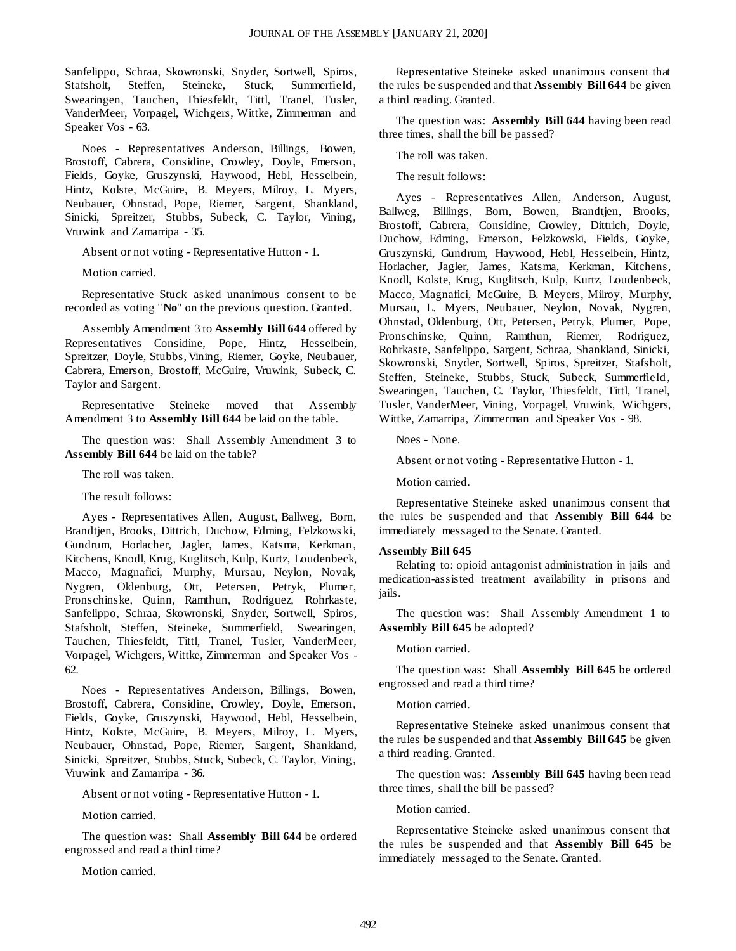Sanfelippo, Schraa, Skowronski, Snyder, Sortwell, Spiros, Stafsholt, Steffen, Steineke, Stuck, Summerfield, Swearingen, Tauchen, Thiesfeldt, Tittl, Tranel, Tusler, VanderMeer, Vorpagel, Wichgers, Wittke, Zimmerman and Speaker Vos - 63.

Noes - Representatives Anderson, Billings, Bowen, Brostoff, Cabrera, Considine, Crowley, Doyle, Emerson, Fields, Goyke, Gruszynski, Haywood, Hebl, Hesselbein, Hintz, Kolste, McGuire, B. Meyers, Milroy, L. Myers, Neubauer, Ohnstad, Pope, Riemer, Sargent, Shankland, Sinicki, Spreitzer, Stubbs, Subeck, C. Taylor, Vining, Vruwink and Zamarripa - 35.

Absent or not voting - Representative Hutton - 1.

Motion carried.

Representative Stuck asked unanimous consent to be recorded as voting "**No**" on the previous question. Granted.

Assembly Amendment 3 to **Assembly Bill 644** offered by Representatives Considine, Pope, Hintz, Hesselbein, Spreitzer, Doyle, Stubbs, Vining, Riemer, Goyke, Neubauer, Cabrera, Emerson, Brostoff, McGuire, Vruwink, Subeck, C. Taylor and Sargent.

Representative Steineke moved that Assembly Amendment 3 to **Assembly Bill 644** be laid on the table.

The question was: Shall Assembly Amendment 3 to **Assembly Bill 644** be laid on the table?

The roll was taken.

The result follows:

Ayes - Representatives Allen, August, Ballweg, Born, Brandtjen, Brooks, Dittrich, Duchow, Edming, Felzkows ki, Gundrum, Horlacher, Jagler, James, Katsma, Kerkman, Kitchens, Knodl, Krug, Kuglitsch, Kulp, Kurtz, Loudenbeck, Macco, Magnafici, Murphy, Mursau, Neylon, Novak, Nygren, Oldenburg, Ott, Petersen, Petryk, Plumer, Pronschinske, Quinn, Ramthun, Rodriguez, Rohrkaste, Sanfelippo, Schraa, Skowronski, Snyder, Sortwell, Spiros, Stafsholt, Steffen, Steineke, Summerfield, Swearingen, Tauchen, Thiesfeldt, Tittl, Tranel, Tusler, VanderMeer, Vorpagel, Wichgers, Wittke, Zimmerman and Speaker Vos - 62.

Noes - Representatives Anderson, Billings, Bowen, Brostoff, Cabrera, Considine, Crowley, Doyle, Emerson, Fields, Goyke, Gruszynski, Haywood, Hebl, Hesselbein, Hintz, Kolste, McGuire, B. Meyers, Milroy, L. Myers, Neubauer, Ohnstad, Pope, Riemer, Sargent, Shankland, Sinicki, Spreitzer, Stubbs, Stuck, Subeck, C. Taylor, Vining, Vruwink and Zamarripa - 36.

Absent or not voting - Representative Hutton - 1.

Motion carried.

The question was: Shall **Assembly Bill 644** be ordered engrossed and read a third time?

Motion carried.

Representative Steineke asked unanimous consent that the rules be suspended and that **Assembly Bill 644** be given a third reading. Granted.

The question was: **Assembly Bill 644** having been read three times, shall the bill be passed?

The roll was taken.

The result follows:

Ayes - Representatives Allen, Anderson, August, Ballweg, Billings, Born, Bowen, Brandtjen, Brooks, Brostoff, Cabrera, Considine, Crowley, Dittrich, Doyle, Duchow, Edming, Emerson, Felzkowski, Fields, Goyke, Gruszynski, Gundrum, Haywood, Hebl, Hesselbein, Hintz, Horlacher, Jagler, James, Katsma, Kerkman, Kitchens, Knodl, Kolste, Krug, Kuglitsch, Kulp, Kurtz, Loudenbeck, Macco, Magnafici, McGuire, B. Meyers, Milroy, Murphy, Mursau, L. Myers, Neubauer, Neylon, Novak, Nygren, Ohnstad, Oldenburg, Ott, Petersen, Petryk, Plumer, Pope, Pronschinske, Quinn, Ramthun, Riemer, Rodriguez, Rohrkaste, Sanfelippo, Sargent, Schraa, Shankland, Sinicki, Skowronski, Snyder, Sortwell, Spiros, Spreitzer, Stafsholt, Steffen, Steineke, Stubbs, Stuck, Subeck, Summerfield, Swearingen, Tauchen, C. Taylor, Thiesfeldt, Tittl, Tranel, Tusler, VanderMeer, Vining, Vorpagel, Vruwink, Wichgers, Wittke, Zamarripa, Zimmerman and Speaker Vos - 98.

Noes - None.

Absent or not voting - Representative Hutton - 1.

Motion carried.

Representative Steineke asked unanimous consent that the rules be suspended and that **Assembly Bill 644** be immediately messaged to the Senate. Granted.

#### **Assembly Bill 645**

Relating to: opioid antagonist administration in jails and medication-assisted treatment availability in prisons and jails.

The question was: Shall Assembly Amendment 1 to **Assembly Bill 645** be adopted?

Motion carried.

The question was: Shall **Assembly Bill 645** be ordered engrossed and read a third time?

Motion carried.

Representative Steineke asked unanimous consent that the rules be suspended and that **Assembly Bill 645** be given a third reading. Granted.

The question was: **Assembly Bill 645** having been read three times, shall the bill be passed?

Motion carried.

Representative Steineke asked unanimous consent that the rules be suspended and that **Assembly Bill 645** be immediately messaged to the Senate. Granted.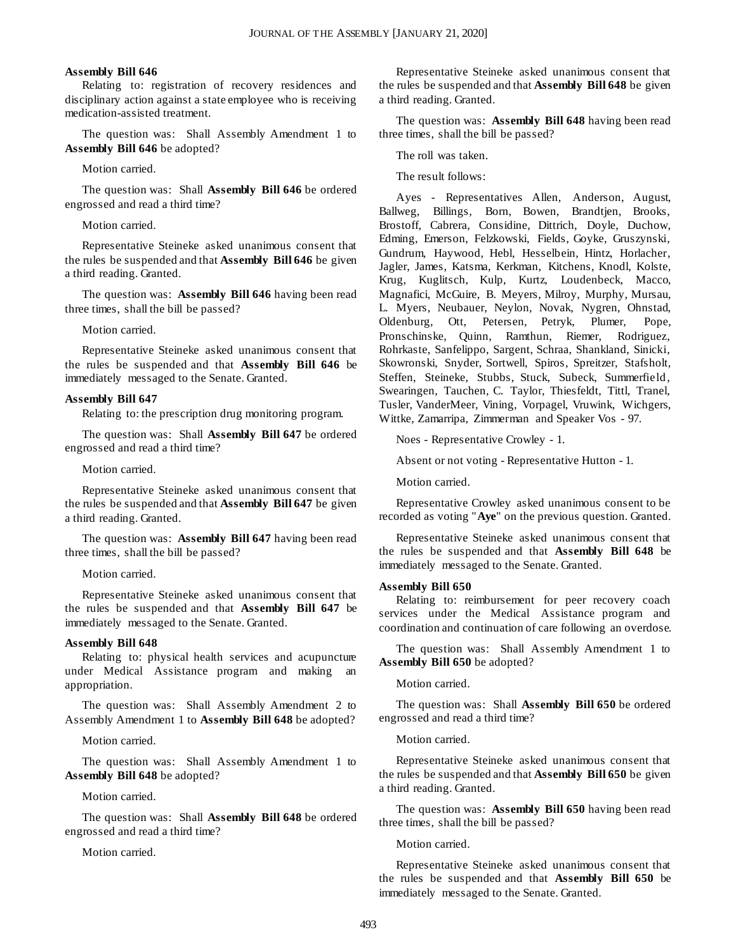#### **Assembly Bill 646**

Relating to: registration of recovery residences and disciplinary action against a state employee who is receiving medication-assisted treatment.

The question was: Shall Assembly Amendment 1 to **Assembly Bill 646** be adopted?

Motion carried.

The question was: Shall **Assembly Bill 646** be ordered engrossed and read a third time?

Motion carried.

Representative Steineke asked unanimous consent that the rules be suspended and that **Assembly Bill 646** be given a third reading. Granted.

The question was: **Assembly Bill 646** having been read three times, shall the bill be passed?

Motion carried.

Representative Steineke asked unanimous consent that the rules be suspended and that **Assembly Bill 646** be immediately messaged to the Senate. Granted.

#### **Assembly Bill 647**

Relating to: the prescription drug monitoring program.

The question was: Shall **Assembly Bill 647** be ordered engrossed and read a third time?

Motion carried.

Representative Steineke asked unanimous consent that the rules be suspended and that **Assembly Bill 647** be given a third reading. Granted.

The question was: **Assembly Bill 647** having been read three times, shall the bill be passed?

Motion carried.

Representative Steineke asked unanimous consent that the rules be suspended and that **Assembly Bill 647** be immediately messaged to the Senate. Granted.

#### **Assembly Bill 648**

Relating to: physical health services and acupuncture under Medical Assistance program and making an appropriation.

The question was: Shall Assembly Amendment 2 to Assembly Amendment 1 to **Assembly Bill 648** be adopted?

Motion carried.

The question was: Shall Assembly Amendment 1 to **Assembly Bill 648** be adopted?

Motion carried.

The question was: Shall **Assembly Bill 648** be ordered engrossed and read a third time?

Motion carried.

Representative Steineke asked unanimous consent that the rules be suspended and that **Assembly Bill 648** be given a third reading. Granted.

The question was: **Assembly Bill 648** having been read three times, shall the bill be passed?

The roll was taken.

The result follows:

Ayes - Representatives Allen, Anderson, August, Ballweg, Billings, Born, Bowen, Brandtjen, Brooks, Brostoff, Cabrera, Considine, Dittrich, Doyle, Duchow, Edming, Emerson, Felzkowski, Fields, Goyke, Gruszynski, Gundrum, Haywood, Hebl, Hesselbein, Hintz, Horlacher, Jagler, James, Katsma, Kerkman, Kitchens, Knodl, Kolste, Krug, Kuglitsch, Kulp, Kurtz, Loudenbeck, Macco, Magnafici, McGuire, B. Meyers, Milroy, Murphy, Mursau, L. Myers, Neubauer, Neylon, Novak, Nygren, Ohnstad, Oldenburg, Ott, Petersen, Petryk, Plumer, Pope, Pronschinske, Quinn, Ramthun, Riemer, Rodriguez, Rohrkaste, Sanfelippo, Sargent, Schraa, Shankland, Sinicki, Skowronski, Snyder, Sortwell, Spiros, Spreitzer, Stafsholt, Steffen, Steineke, Stubbs, Stuck, Subeck, Summerfield, Swearingen, Tauchen, C. Taylor, Thiesfeldt, Tittl, Tranel, Tusler, VanderMeer, Vining, Vorpagel, Vruwink, Wichgers, Wittke, Zamarripa, Zimmerman and Speaker Vos - 97.

Noes - Representative Crowley - 1.

Absent or not voting - Representative Hutton - 1.

Motion carried.

Representative Crowley asked unanimous consent to be recorded as voting "**Aye**" on the previous question. Granted.

Representative Steineke asked unanimous consent that the rules be suspended and that **Assembly Bill 648** be immediately messaged to the Senate. Granted.

#### **Assembly Bill 650**

Relating to: reimbursement for peer recovery coach services under the Medical Assistance program and coordination and continuation of care following an overdose.

The question was: Shall Assembly Amendment 1 to **Assembly Bill 650** be adopted?

Motion carried.

The question was: Shall **Assembly Bill 650** be ordered engrossed and read a third time?

Motion carried.

Representative Steineke asked unanimous consent that the rules be suspended and that **Assembly Bill 650** be given a third reading. Granted.

The question was: **Assembly Bill 650** having been read three times, shall the bill be passed?

Motion carried.

Representative Steineke asked unanimous consent that the rules be suspended and that **Assembly Bill 650** be immediately messaged to the Senate. Granted.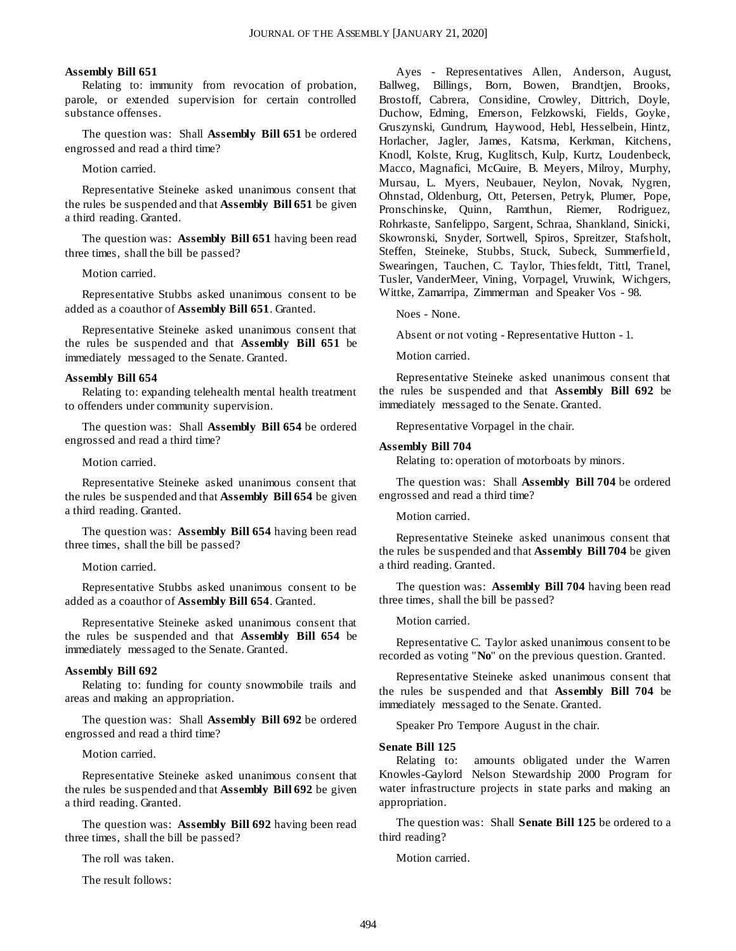#### **Assembly Bill 651**

Relating to: immunity from revocation of probation, parole, or extended supervision for certain controlled substance offenses.

The question was: Shall **Assembly Bill 651** be ordered engrossed and read a third time?

Motion carried.

Representative Steineke asked unanimous consent that the rules be suspended and that **Assembly Bill 651** be given a third reading. Granted.

The question was: **Assembly Bill 651** having been read three times, shall the bill be passed?

Motion carried.

Representative Stubbs asked unanimous consent to be added as a coauthor of **Assembly Bill 651**. Granted.

Representative Steineke asked unanimous consent that the rules be suspended and that **Assembly Bill 651** be immediately messaged to the Senate. Granted.

#### **Assembly Bill 654**

Relating to: expanding telehealth mental health treatment to offenders under community supervision.

The question was: Shall **Assembly Bill 654** be ordered engrossed and read a third time?

Motion carried.

Representative Steineke asked unanimous consent that the rules be suspended and that **Assembly Bill 654** be given a third reading. Granted.

The question was: **Assembly Bill 654** having been read three times, shall the bill be passed?

Motion carried.

Representative Stubbs asked unanimous consent to be added as a coauthor of **Assembly Bill 654**. Granted.

Representative Steineke asked unanimous consent that the rules be suspended and that **Assembly Bill 654** be immediately messaged to the Senate. Granted.

#### **Assembly Bill 692**

Relating to: funding for county snowmobile trails and areas and making an appropriation.

The question was: Shall **Assembly Bill 692** be ordered engrossed and read a third time?

Motion carried.

Representative Steineke asked unanimous consent that the rules be suspended and that **Assembly Bill 692** be given a third reading. Granted.

The question was: **Assembly Bill 692** having been read three times, shall the bill be passed?

The roll was taken.

The result follows:

Ayes - Representatives Allen, Anderson, August, Ballweg, Billings, Born, Bowen, Brandtjen, Brooks, Brostoff, Cabrera, Considine, Crowley, Dittrich, Doyle, Duchow, Edming, Emerson, Felzkowski, Fields, Goyke, Gruszynski, Gundrum, Haywood, Hebl, Hesselbein, Hintz, Horlacher, Jagler, James, Katsma, Kerkman, Kitchens, Knodl, Kolste, Krug, Kuglitsch, Kulp, Kurtz, Loudenbeck, Macco, Magnafici, McGuire, B. Meyers, Milroy, Murphy, Mursau, L. Myers, Neubauer, Neylon, Novak, Nygren, Ohnstad, Oldenburg, Ott, Petersen, Petryk, Plumer, Pope, Pronschinske, Quinn, Ramthun, Riemer, Rodriguez, Rohrkaste, Sanfelippo, Sargent, Schraa, Shankland, Sinicki, Skowronski, Snyder, Sortwell, Spiros, Spreitzer, Stafsholt, Steffen, Steineke, Stubbs, Stuck, Subeck, Summerfield, Swearingen, Tauchen, C. Taylor, Thiesfeldt, Tittl, Tranel, Tusler, VanderMeer, Vining, Vorpagel, Vruwink, Wichgers, Wittke, Zamarripa, Zimmerman and Speaker Vos - 98.

Noes - None.

Absent or not voting - Representative Hutton - 1.

Motion carried.

Representative Steineke asked unanimous consent that the rules be suspended and that **Assembly Bill 692** be immediately messaged to the Senate. Granted.

Representative Vorpagel in the chair.

#### **Assembly Bill 704**

Relating to: operation of motorboats by minors.

The question was: Shall **Assembly Bill 704** be ordered engrossed and read a third time?

Motion carried.

Representative Steineke asked unanimous consent that the rules be suspended and that **Assembly Bill 704** be given a third reading. Granted.

The question was: **Assembly Bill 704** having been read three times, shall the bill be passed?

Motion carried.

Representative C. Taylor asked unanimous consent to be recorded as voting "**No**" on the previous question. Granted.

Representative Steineke asked unanimous consent that the rules be suspended and that **Assembly Bill 704** be immediately messaged to the Senate. Granted.

Speaker Pro Tempore August in the chair.

#### **Senate Bill 125**

Relating to: amounts obligated under the Warren Knowles-Gaylord Nelson Stewardship 2000 Program for water infrastructure projects in state parks and making an appropriation.

The question was: Shall **Senate Bill 125** be ordered to a third reading?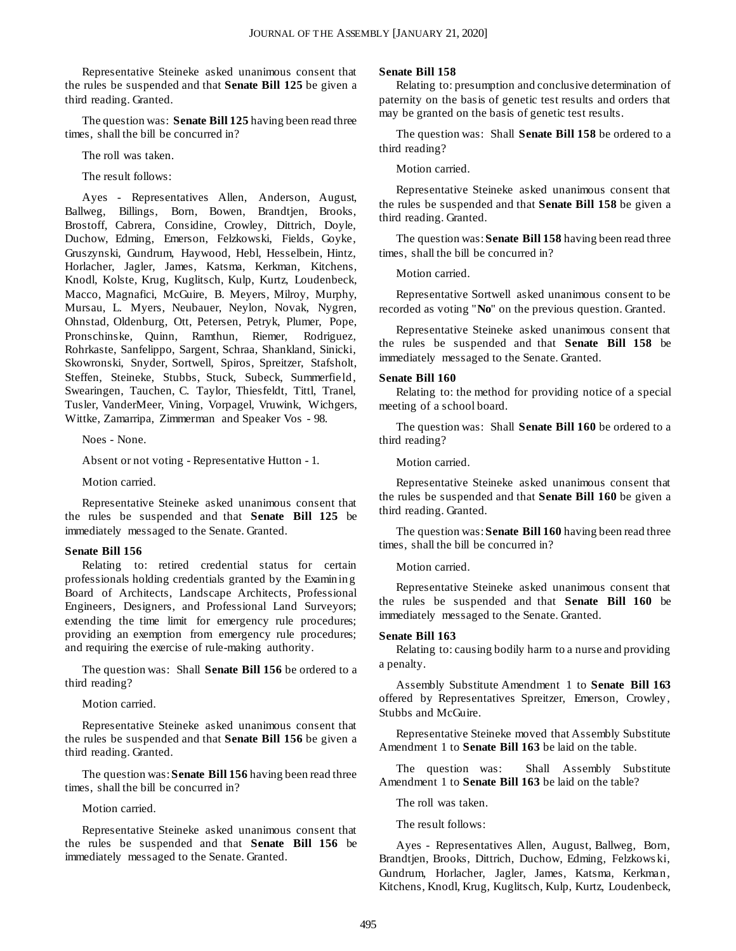Representative Steineke asked unanimous consent that the rules be suspended and that **Senate Bill 125** be given a third reading. Granted.

The question was: **Senate Bill 125** having been read three times, shall the bill be concurred in?

The roll was taken.

The result follows:

Ayes - Representatives Allen, Anderson, August, Ballweg, Billings, Born, Bowen, Brandtjen, Brooks, Brostoff, Cabrera, Considine, Crowley, Dittrich, Doyle, Duchow, Edming, Emerson, Felzkowski, Fields, Goyke, Gruszynski, Gundrum, Haywood, Hebl, Hesselbein, Hintz, Horlacher, Jagler, James, Katsma, Kerkman, Kitchens, Knodl, Kolste, Krug, Kuglitsch, Kulp, Kurtz, Loudenbeck, Macco, Magnafici, McGuire, B. Meyers, Milroy, Murphy, Mursau, L. Myers, Neubauer, Neylon, Novak, Nygren, Ohnstad, Oldenburg, Ott, Petersen, Petryk, Plumer, Pope, Pronschinske, Quinn, Ramthun, Riemer, Rodriguez, Rohrkaste, Sanfelippo, Sargent, Schraa, Shankland, Sinicki, Skowronski, Snyder, Sortwell, Spiros, Spreitzer, Stafsholt, Steffen, Steineke, Stubbs, Stuck, Subeck, Summerfield, Swearingen, Tauchen, C. Taylor, Thiesfeldt, Tittl, Tranel, Tusler, VanderMeer, Vining, Vorpagel, Vruwink, Wichgers, Wittke, Zamarripa, Zimmerman and Speaker Vos - 98.

Noes - None.

Absent or not voting - Representative Hutton - 1.

Motion carried.

Representative Steineke asked unanimous consent that the rules be suspended and that **Senate Bill 125** be immediately messaged to the Senate. Granted.

#### **Senate Bill 156**

Relating to: retired credential status for certain professionals holding credentials granted by the Examining Board of Architects, Landscape Architects, Professional Engineers, Designers, and Professional Land Surveyors; extending the time limit for emergency rule procedures; providing an exemption from emergency rule procedures; and requiring the exercise of rule-making authority.

The question was: Shall **Senate Bill 156** be ordered to a third reading?

Motion carried.

Representative Steineke asked unanimous consent that the rules be suspended and that **Senate Bill 156** be given a third reading. Granted.

The question was: **Senate Bill 156** having been read three times, shall the bill be concurred in?

Motion carried.

Representative Steineke asked unanimous consent that the rules be suspended and that **Senate Bill 156** be immediately messaged to the Senate. Granted.

#### **Senate Bill 158**

Relating to: presumption and conclusive determination of paternity on the basis of genetic test results and orders that may be granted on the basis of genetic test results.

The question was: Shall **Senate Bill 158** be ordered to a third reading?

Motion carried.

Representative Steineke asked unanimous consent that the rules be suspended and that **Senate Bill 158** be given a third reading. Granted.

The question was: **Senate Bill 158** having been read three times, shall the bill be concurred in?

Motion carried.

Representative Sortwell asked unanimous consent to be recorded as voting "**No**" on the previous question. Granted.

Representative Steineke asked unanimous consent that the rules be suspended and that **Senate Bill 158** be immediately messaged to the Senate. Granted.

#### **Senate Bill 160**

Relating to: the method for providing notice of a special meeting of a school board.

The question was: Shall **Senate Bill 160** be ordered to a third reading?

Motion carried.

Representative Steineke asked unanimous consent that the rules be suspended and that **Senate Bill 160** be given a third reading. Granted.

The question was: **Senate Bill 160** having been read three times, shall the bill be concurred in?

Motion carried.

Representative Steineke asked unanimous consent that the rules be suspended and that **Senate Bill 160** be immediately messaged to the Senate. Granted.

#### **Senate Bill 163**

Relating to: causing bodily harm to a nurse and providing a penalty.

Assembly Substitute Amendment 1 to **Senate Bill 163** offered by Representatives Spreitzer, Emerson, Crowley, Stubbs and McGuire.

Representative Steineke moved that Assembly Substitute Amendment 1 to **Senate Bill 163** be laid on the table.

The question was: Shall Assembly Substitute Amendment 1 to **Senate Bill 163** be laid on the table?

The roll was taken.

The result follows:

Ayes - Representatives Allen, August, Ballweg, Born, Brandtjen, Brooks, Dittrich, Duchow, Edming, Felzkows ki, Gundrum, Horlacher, Jagler, James, Katsma, Kerkman, Kitchens, Knodl, Krug, Kuglitsch, Kulp, Kurtz, Loudenbeck,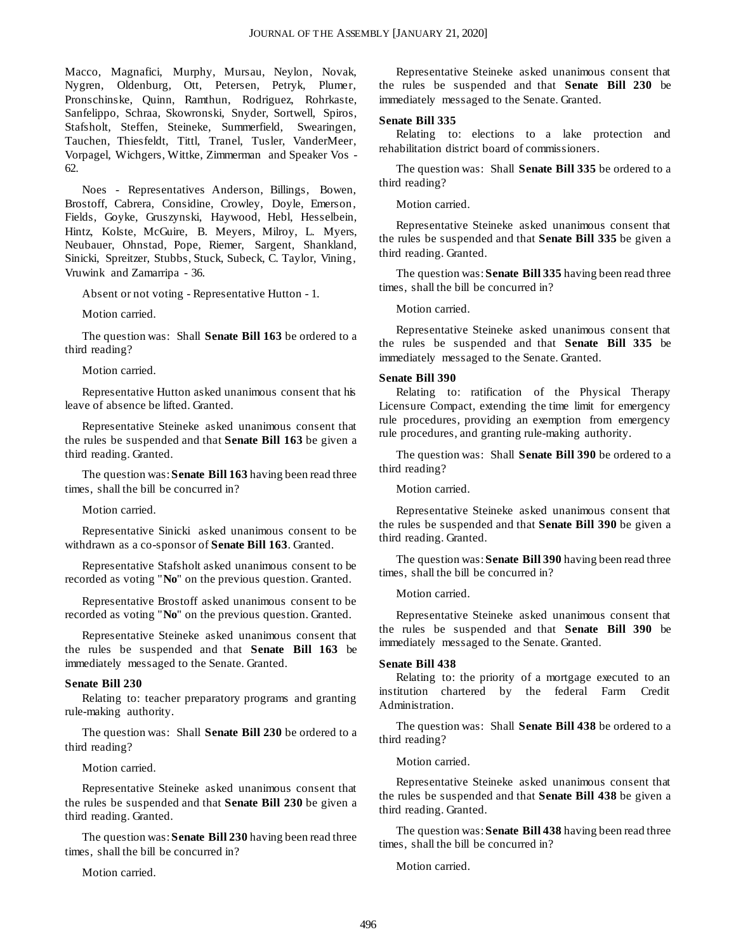Macco, Magnafici, Murphy, Mursau, Neylon, Novak, Nygren, Oldenburg, Ott, Petersen, Petryk, Plumer, Pronschinske, Quinn, Ramthun, Rodriguez, Rohrkaste, Sanfelippo, Schraa, Skowronski, Snyder, Sortwell, Spiros, Stafsholt, Steffen, Steineke, Summerfield, Swearingen, Tauchen, Thiesfeldt, Tittl, Tranel, Tusler, VanderMeer, Vorpagel, Wichgers, Wittke, Zimmerman and Speaker Vos - 62.

Noes - Representatives Anderson, Billings, Bowen, Brostoff, Cabrera, Considine, Crowley, Doyle, Emerson, Fields, Goyke, Gruszynski, Haywood, Hebl, Hesselbein, Hintz, Kolste, McGuire, B. Meyers, Milroy, L. Myers, Neubauer, Ohnstad, Pope, Riemer, Sargent, Shankland, Sinicki, Spreitzer, Stubbs, Stuck, Subeck, C. Taylor, Vining, Vruwink and Zamarripa - 36.

Absent or not voting - Representative Hutton - 1.

Motion carried.

The question was: Shall **Senate Bill 163** be ordered to a third reading?

Motion carried.

Representative Hutton asked unanimous consent that his leave of absence be lifted. Granted.

Representative Steineke asked unanimous consent that the rules be suspended and that **Senate Bill 163** be given a third reading. Granted.

The question was: **Senate Bill 163** having been read three times, shall the bill be concurred in?

Motion carried.

Representative Sinicki asked unanimous consent to be withdrawn as a co-sponsor of **Senate Bill 163**. Granted.

Representative Stafsholt asked unanimous consent to be recorded as voting "**No**" on the previous question. Granted.

Representative Brostoff asked unanimous consent to be recorded as voting "**No**" on the previous question. Granted.

Representative Steineke asked unanimous consent that the rules be suspended and that **Senate Bill 163** be immediately messaged to the Senate. Granted.

#### **Senate Bill 230**

Relating to: teacher preparatory programs and granting rule-making authority.

The question was: Shall **Senate Bill 230** be ordered to a third reading?

Motion carried.

Representative Steineke asked unanimous consent that the rules be suspended and that **Senate Bill 230** be given a third reading. Granted.

The question was: **Senate Bill 230** having been read three times, shall the bill be concurred in?

Motion carried.

Representative Steineke asked unanimous consent that the rules be suspended and that **Senate Bill 230** be immediately messaged to the Senate. Granted.

#### **Senate Bill 335**

Relating to: elections to a lake protection and rehabilitation district board of commissioners.

The question was: Shall **Senate Bill 335** be ordered to a third reading?

Motion carried.

Representative Steineke asked unanimous consent that the rules be suspended and that **Senate Bill 335** be given a third reading. Granted.

The question was: **Senate Bill 335** having been read three times, shall the bill be concurred in?

Motion carried.

Representative Steineke asked unanimous consent that the rules be suspended and that **Senate Bill 335** be immediately messaged to the Senate. Granted.

#### **Senate Bill 390**

Relating to: ratification of the Physical Therapy Licensure Compact, extending the time limit for emergency rule procedures, providing an exemption from emergency rule procedures, and granting rule-making authority.

The question was: Shall **Senate Bill 390** be ordered to a third reading?

Motion carried.

Representative Steineke asked unanimous consent that the rules be suspended and that **Senate Bill 390** be given a third reading. Granted.

The question was: **Senate Bill 390** having been read three times, shall the bill be concurred in?

Motion carried.

Representative Steineke asked unanimous consent that the rules be suspended and that **Senate Bill 390** be immediately messaged to the Senate. Granted.

#### **Senate Bill 438**

Relating to: the priority of a mortgage executed to an institution chartered by the federal Farm Credit Administration.

The question was: Shall **Senate Bill 438** be ordered to a third reading?

Motion carried.

Representative Steineke asked unanimous consent that the rules be suspended and that **Senate Bill 438** be given a third reading. Granted.

The question was: **Senate Bill 438** having been read three times, shall the bill be concurred in?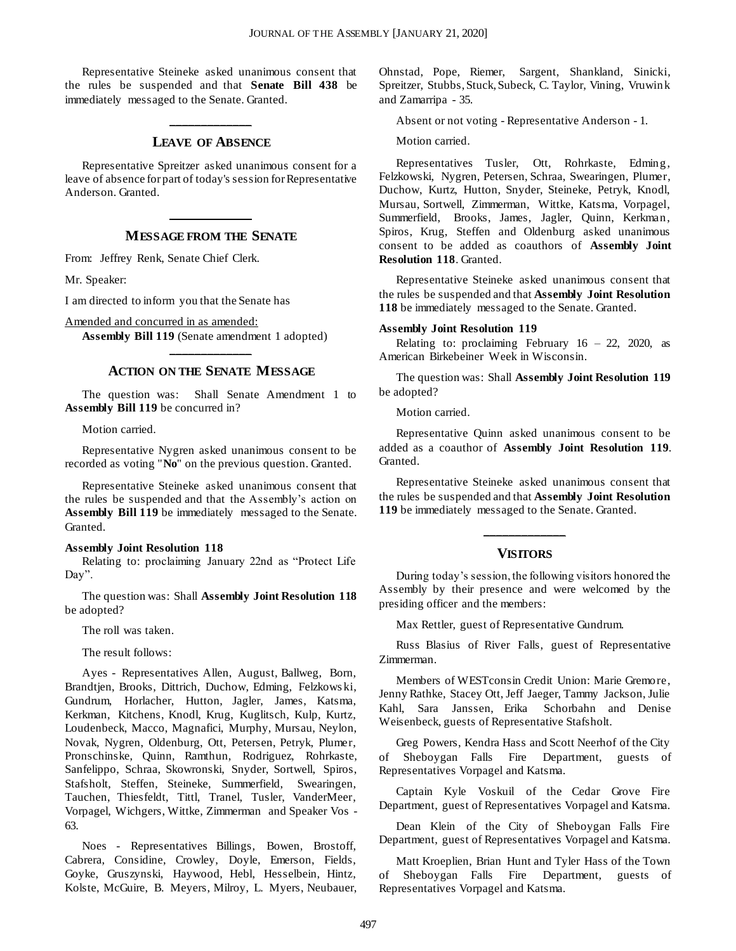Representative Steineke asked unanimous consent that the rules be suspended and that **Senate Bill 438** be immediately messaged to the Senate. Granted.

## **\_\_\_\_\_\_\_\_\_\_\_\_\_ LEAVE OF ABSENCE**

Representative Spreitzer asked unanimous consent for a leave of absence for part of today's session for Representative Anderson. Granted.

## **\_\_\_\_\_\_\_\_\_\_\_\_\_ MESSAGE FROM THE SENATE**

From: Jeffrey Renk, Senate Chief Clerk.

Mr. Speaker:

I am directed to inform you that the Senate has

Amended and concurred in as amended:

**Assembly Bill 119** (Senate amendment 1 adopted) **\_\_\_\_\_\_\_\_\_\_\_\_\_**

#### **ACTION ON THE SENATE MESSAGE**

The question was: Shall Senate Amendment 1 to **Assembly Bill 119** be concurred in?

Motion carried.

Representative Nygren asked unanimous consent to be recorded as voting "**No**" on the previous question. Granted.

Representative Steineke asked unanimous consent that the rules be suspended and that the Assembly's action on **Assembly Bill 119** be immediately messaged to the Senate. Granted.

#### **Assembly Joint Resolution 118**

Relating to: proclaiming January 22nd as "Protect Life Day".

The question was: Shall **Assembly Joint Resolution 118** be adopted?

The roll was taken.

The result follows:

Ayes - Representatives Allen, August, Ballweg, Born, Brandtjen, Brooks, Dittrich, Duchow, Edming, Felzkows ki, Gundrum, Horlacher, Hutton, Jagler, James, Katsma, Kerkman, Kitchens, Knodl, Krug, Kuglitsch, Kulp, Kurtz, Loudenbeck, Macco, Magnafici, Murphy, Mursau, Neylon, Novak, Nygren, Oldenburg, Ott, Petersen, Petryk, Plumer, Pronschinske, Quinn, Ramthun, Rodriguez, Rohrkaste, Sanfelippo, Schraa, Skowronski, Snyder, Sortwell, Spiros, Stafsholt, Steffen, Steineke, Summerfield, Swearingen, Tauchen, Thiesfeldt, Tittl, Tranel, Tusler, VanderMeer, Vorpagel, Wichgers, Wittke, Zimmerman and Speaker Vos - 63.

Noes - Representatives Billings, Bowen, Brostoff, Cabrera, Considine, Crowley, Doyle, Emerson, Fields, Goyke, Gruszynski, Haywood, Hebl, Hesselbein, Hintz, Kolste, McGuire, B. Meyers, Milroy, L. Myers, Neubauer,

Ohnstad, Pope, Riemer, Sargent, Shankland, Sinicki, Spreitzer, Stubbs, Stuck, Subeck, C. Taylor, Vining, Vruwink and Zamarripa - 35.

Absent or not voting - Representative Anderson - 1.

Motion carried.

Representatives Tusler, Ott, Rohrkaste, Edming, Felzkowski, Nygren, Petersen, Schraa, Swearingen, Plumer, Duchow, Kurtz, Hutton, Snyder, Steineke, Petryk, Knodl, Mursau, Sortwell, Zimmerman, Wittke, Katsma, Vorpagel, Summerfield, Brooks, James, Jagler, Quinn, Kerkman, Spiros, Krug, Steffen and Oldenburg asked unanimous consent to be added as coauthors of **Assembly Joint Resolution 118**. Granted.

Representative Steineke asked unanimous consent that the rules be suspended and that **Assembly Joint Resolution 118** be immediately messaged to the Senate. Granted.

#### **Assembly Joint Resolution 119**

Relating to: proclaiming February  $16 - 22$ , 2020, as American Birkebeiner Week in Wisconsin.

The question was: Shall **Assembly Joint Resolution 119** be adopted?

Motion carried.

Representative Quinn asked unanimous consent to be added as a coauthor of **Assembly Joint Resolution 119**. Granted.

Representative Steineke asked unanimous consent that the rules be suspended and that **Assembly Joint Resolution 119** be immediately messaged to the Senate. Granted.

## **\_\_\_\_\_\_\_\_\_\_\_\_\_ VISITORS**

During today's session, the following visitors honored the Assembly by their presence and were welcomed by the presiding officer and the members:

Max Rettler, guest of Representative Gundrum.

Russ Blasius of River Falls, guest of Representative Zimmerman.

Members of WESTconsin Credit Union: Marie Gremore, Jenny Rathke, Stacey Ott, Jeff Jaeger, Tammy Jackson, Julie Kahl, Sara Janssen, Erika Schorbahn and Denise Weisenbeck, guests of Representative Stafsholt.

Greg Powers, Kendra Hass and Scott Neerhof of the City of Sheboygan Falls Fire Department, guests of Representatives Vorpagel and Katsma.

Captain Kyle Voskuil of the Cedar Grove Fire Department, guest of Representatives Vorpagel and Katsma.

Dean Klein of the City of Sheboygan Falls Fire Department, guest of Representatives Vorpagel and Katsma.

Matt Kroeplien, Brian Hunt and Tyler Hass of the Town of Sheboygan Falls Fire Department, guests of Representatives Vorpagel and Katsma.